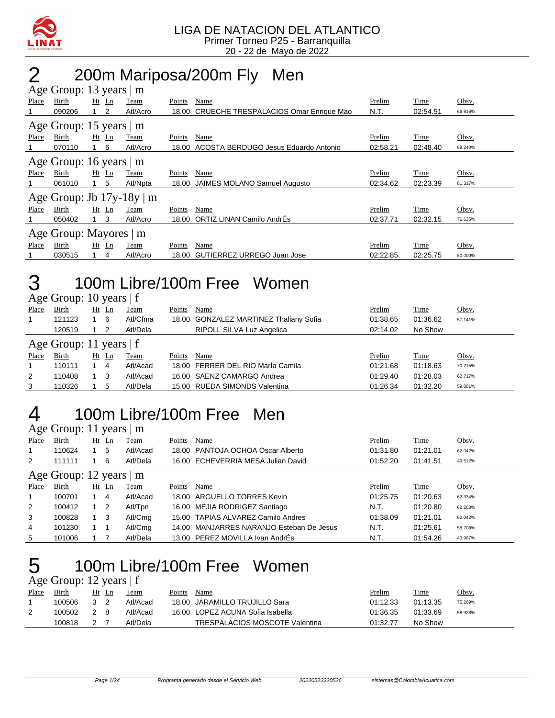

## 2 200m Mariposa/200m Fly Men

|       | Age Group: 13 years   m       |         |                                |        |                                             |          |          |         |
|-------|-------------------------------|---------|--------------------------------|--------|---------------------------------------------|----------|----------|---------|
| Place | Birth                         | $Ht$ Ln | Team                           | Points | Name                                        | Prelim   | Time     | Obsv.   |
|       | 090206                        | 2       | Atl/Acro                       |        | 18.00 CRUECHE TRESPALACIOS Omar Enrique Mao | N.T.     | 02:54.51 | 66.816% |
|       | Age Group: 15 years   m       |         |                                |        |                                             |          |          |         |
| Place | Birth                         | $Ht$ Ln | Team                           | Points | Name                                        | Prelim   | Time     | Obsv.   |
|       | 070110                        | 6       | Atl/Acro                       |        | 18.00 ACOSTA BERDUGO Jesus Eduardo Antonio  | 02:58.21 | 02:48.40 | 69.240% |
|       | Age Group: 16 years $\vert$ m |         |                                |        |                                             |          |          |         |
| Place | Birth                         | $Ht$ Ln | Team                           | Points | Name                                        | Prelim   | Time     | Obsv.   |
|       | 061010                        | 5       | Atl/Npta                       | 18.00  | JAIMES MOLANO Samuel Augusto                | 02:34.62 | 02:23.39 | 81.317% |
|       |                               |         | Age Group: Jb $17y-18y \mid m$ |        |                                             |          |          |         |
| Place | Birth                         | $Ht$ Ln | Team                           | Points | Name                                        | Prelim   | Time     | Obsv.   |
|       | 050402                        | 3       | Atl/Acro                       | 18.00  | ORTIZ LINAN Camilo AndrÉs                   | 02:37.71 | 02:32.15 | 76.635% |
|       | Age Group: Mayores   m        |         |                                |        |                                             |          |          |         |
| Place | Birth                         | $Ht$ Ln | Team                           | Points | Name                                        | Prelim   | Time     | Obsv.   |
|       | 030515                        | 4       | Atl/Acro                       | 18.00  | GUTIERREZ URREGO Juan Jose                  | 02:22.85 | 02:25.75 | 80.000% |

#### 3 100m Libre/100m Free Women  $\overline{A}$ ge Group: 10 years | f

|       | $1.50$ Oroup. 10 years   1 |         |     |             |        |                                        |          |             |         |
|-------|----------------------------|---------|-----|-------------|--------|----------------------------------------|----------|-------------|---------|
| Place | Birth                      | $Ht$ Ln |     | Team        | Points | Name                                   | Prelim   | Time        | Obsv.   |
|       | 121123                     |         | - 6 | Atl/Cfma    |        | 18.00 GONZALEZ MARTINEZ Thaliany Sofia | 01:38.65 | 01:36.62    | 57.141% |
|       | 120519                     |         | 2   | Atl/Dela    |        | RIPOLL SILVA Luz Angelica              | 02:14.02 | No Show     |         |
|       | Age Group: 11 years $ f $  |         |     |             |        |                                        |          |             |         |
| Place | Birth                      |         |     |             |        |                                        |          |             |         |
|       |                            | Ht Ln   |     | <b>Team</b> | Points | Name                                   | Prelim   | <u>Time</u> | Obsv.   |
|       | 110111                     |         | 4   | Atl/Acad    |        | 18.00 FERRER DEL RIO María Camila      | 01:21.68 | 01:18.63    | 70.215% |
| 2     | 110408                     |         | -3  | Atl/Acad    |        | 16.00 SAENZ CAMARGO Andrea             | 01:29.40 | 01:28.03    | 62.717% |
| 3     | 110326                     |         | 5   | Atl/Dela    |        | 15.00 RUEDA SIMONDS Valentina          | 01:26.34 | 01:32.20    | 59.881% |

### 4 100m Libre/100m Free Men

Age Group: 11 years | m

| Place | Birth                         | Ht | Ln             | Team        | Points | Name                                     | Prelim   | <b>Time</b> | Obsv.   |
|-------|-------------------------------|----|----------------|-------------|--------|------------------------------------------|----------|-------------|---------|
| 1     | 110624                        |    | 5              | Atl/Acad    |        | 18.00 PANTOJA OCHOA Oscar Alberto        | 01:31.80 | 01:21.01    | 62.042% |
| 2     | 111111                        |    | 6              | Atl/Dela    |        | 16.00 ECHEVERRIA MESA Julian David       | 01:52.20 | 01:41.51    | 49.512% |
|       | Age Group: 12 years $\vert$ m |    |                |             |        |                                          |          |             |         |
| Place | <b>Birth</b>                  |    | $Ht$ Ln        | <b>Team</b> | Points | Name                                     | Prelim   | Time        | Obsv.   |
| 1     | 100701                        |    | 4              | Atl/Acad    |        | 18.00 ARGUELLO TORRES Kevin              | 01:25.75 | 01:20.63    | 62.334% |
| 2     | 100412                        |    | $\overline{2}$ | Atl/Tpn     |        | 16.00 MEJIA RODRIGEZ Santiago            | N.T.     | 01:20.80    | 62.203% |
| 3     | 100828                        |    | - 3            | Atl/Cmg     |        | 15.00 TAPIAS ALVAREZ Camilo Andres       | 01:38.09 | 01:21.01    | 62.042% |
| 4     | 101230                        |    |                | Atl/Cmg     |        | 14.00 MANJARRES NARANJO Esteban De Jesus | N.T.     | 01:25.61    | 58.708% |
| 5     | 101006                        |    |                | Atl/Dela    |        | 13.00 PEREZ MOVILLA Ivan AndrEs          | N.T.     | 01:54.26    | 43.987% |

#### 5 100m Libre/100m Free Women  $\overline{A}$ ge Group: 12 years | f

|       | $1.80$ Oroup. $12$ years $1$ |     |       |          |        |                                  |               |             |         |
|-------|------------------------------|-----|-------|----------|--------|----------------------------------|---------------|-------------|---------|
| Place | Birth                        |     | Ht Ln | Team     | Points | Name                             | <u>Prelim</u> | <b>Time</b> | Obsv.   |
|       | 100506                       | 3 2 |       | Atl/Acad |        | 18.00 JARAMILLO TRUJILLO Sara    | 01:12.33      | 01:13.35    | 75.269% |
|       | 100502                       | 2 8 |       | Atl/Acad |        | 16.00 LOPEZ ACUNA Sofia Isabella | 01:36.35      | 01:33.69    | 58.928% |
|       | 100818                       | 2 7 |       | Atl/Dela |        | TRESPALACIOS MOSCOTE Valentina   | 01:32.77      | No Show     |         |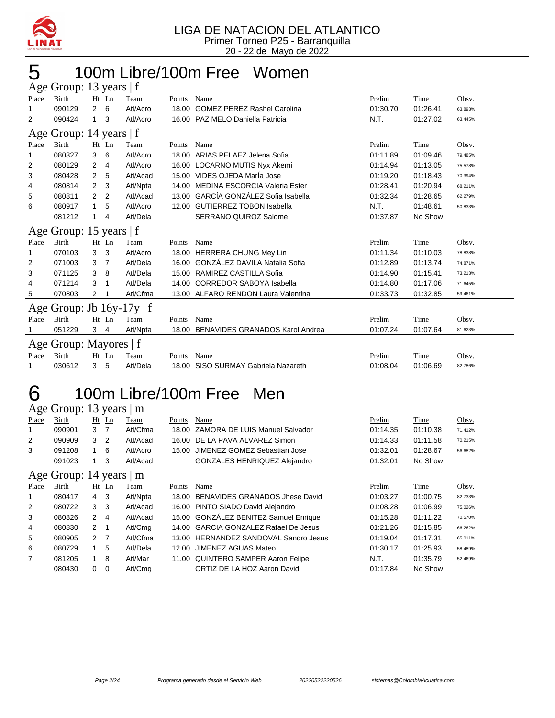

#### 100m Libre/100m Free Women Age Group: 13 years  $\pm$  f

|       | $\Delta$ gu Oroup. To yuars $\pm$ |                |   |          |        |                                        |          |          |         |
|-------|-----------------------------------|----------------|---|----------|--------|----------------------------------------|----------|----------|---------|
| Place | Birth                             | $Ht$ Ln        |   | Team     | Points | Name                                   | Prelim   | Time     | Obsv.   |
| 1     | 090129                            | $\overline{2}$ | 6 | Atl/Acro | 18.00  | <b>GOMEZ PEREZ Rashel Carolina</b>     | 01:30.70 | 01:26.41 | 63.893% |
| 2     | 090424                            | 1              | 3 | Atl/Acro |        | 16.00 PAZ MELO Daniella Patricia       | N.T.     | 01:27.02 | 63.445% |
|       | Age Group: 14 years   f           |                |   |          |        |                                        |          |          |         |
| Place | Birth                             | Ht Ln          |   | Team     | Points | Name                                   | Prelim   | Time     | Obsv.   |
| 1     | 080327                            | 3              | 6 | Atl/Acro | 18.00  | ARIAS PELAEZ Jelena Sofia              | 01:11.89 | 01:09.46 | 79.485% |
| 2     | 080129                            | 2              | 4 | Atl/Acro |        | 16.00 LOCARNO MUTIS Nyx Akemi          | 01:14.94 | 01:13.05 | 75.578% |
| 3     | 080428                            | 2              | 5 | Atl/Acad |        | 15.00 VIDES OJEDA MarÍa Jose           | 01:19.20 | 01:18.43 | 70.394% |
| 4     | 080814                            | 2              | 3 | Atl/Npta | 14.00  | MEDINA ESCORCIA Valeria Ester          | 01:28.41 | 01:20.94 | 68.211% |
| 5     | 080811                            | 2              | 2 | Atl/Acad |        | 13.00 GARCÍA GONZÁLEZ Sofia Isabella   | 01:32.34 | 01:28.65 | 62.279% |
| 6     | 080917                            | 1              | 5 | Atl/Acro |        | 12.00 GUTIERREZ TOBON Isabella         | N.T.     | 01:48.61 | 50.833% |
|       | 081212                            | 1              | 4 | Atl/Dela |        | SERRANO QUIROZ Salome                  | 01:37.87 | No Show  |         |
|       | Age Group: 15 years   f           |                |   |          |        |                                        |          |          |         |
| Place | Birth                             | $Ht$ Ln        |   | Team     | Points | Name                                   | Prelim   | Time     | Obsv.   |
| 1     | 070103                            | 3              | 3 | Atl/Acro |        | 18.00 HERRERA CHUNG Mey Lin            | 01:11.34 | 01:10.03 | 78.838% |
| 2     | 071003                            | 3              | 7 | Atl/Dela |        | 16.00 GONZÁLEZ DAVILA Natalia Sofia    | 01:12.89 | 01:13.74 | 74.871% |
| 3     | 071125                            | 3              | 8 | Atl/Dela |        | 15.00 RAMIREZ CASTILLA Sofia           | 01:14.90 | 01:15.41 | 73.213% |
| 4     | 071214                            | 3              |   | Atl/Dela |        | 14.00 CORREDOR SABOYA Isabella         | 01:14.80 | 01:17.06 | 71.645% |
| 5     | 070803                            | 2              |   | Atl/Cfma |        | 13.00 ALFARO RENDON Laura Valentina    | 01:33.73 | 01:32.85 | 59.461% |
|       | Age Group: Jb $16y-17y \mid f$    |                |   |          |        |                                        |          |          |         |
| Place | Birth                             | $Ht$ Ln        |   | Team     | Points | Name                                   | Prelim   | Time     | Obsv.   |
|       | 051229                            | 3              | 4 | Atl/Npta | 18.00  | <b>BENAVIDES GRANADOS Karol Andrea</b> | 01:07.24 | 01:07.64 | 81.623% |
|       | Age Group: Mayores   f            |                |   |          |        |                                        |          |          |         |
| Place | <b>Birth</b>                      | Ht Ln          |   | Team     | Points | Name                                   | Prelim   | Time     | Obsv.   |
|       | 030612                            | 3              | 5 | Atl/Dela |        | 18.00 SISO SURMAY Gabriela Nazareth    | 01:08.04 | 01:06.69 | 82.786% |

### 100m Libre/100m Free Men

Age Group: 13 years | m

| Place          | Birth                   |                | $Ht$ Ln        | Team     | Points | Name                                  | Prelim   | Time     | Obsv.   |
|----------------|-------------------------|----------------|----------------|----------|--------|---------------------------------------|----------|----------|---------|
| 1              | 090901                  | 3 7            |                | Atl/Cfma |        | 18.00 ZAMORA DE LUIS Manuel Salvador  | 01:14.35 | 01:10.38 | 71.412% |
| $\overline{2}$ | 090909                  | 3              | $\overline{2}$ | Atl/Acad | 16.00  | DE LA PAVA ALVAREZ Simon              | 01:14.33 | 01:11.58 | 70.215% |
| 3              | 091208                  | $\overline{1}$ | -6             | Atl/Acro |        | 15.00 JIMENEZ GOMEZ Sebastian Jose    | 01:32.01 | 01:28.67 | 56.682% |
|                | 091023                  |                | 3              | Atl/Acad |        | GONZALES HENRIQUEZ Alejandro          | 01:32.01 | No Show  |         |
|                | Age Group: 14 years   m |                |                |          |        |                                       |          |          |         |
| Place          | Birth                   | Ht             | Ln             | Team     | Points | Name                                  | Prelim   | Time     | Obsv.   |
| 1              | 080417                  | $4 \quad 3$    |                | Atl/Npta | 18.00  | BENAVIDES GRANADOS Jhese David        | 01:03.27 | 01:00.75 | 82.733% |
| $\overline{2}$ | 080722                  | 3              | -3             | Atl/Acad |        | 16.00 PINTO SIADO David Alejandro     | 01:08.28 | 01:06.99 | 75.026% |
| 3              | 080826                  | $\mathbf{2}$   | 4              | Atl/Acad |        | 15.00 GONZÁLEZ BENITEZ Samuel Enrique | 01:15.28 | 01:11.22 | 70.570% |
| 4              | 080830                  | 2 1            |                | Atl/Cmg  |        | 14.00 GARCIA GONZALEZ Rafael De Jesus | 01:21.26 | 01:15.85 | 66.262% |
| 5              | 080905                  | 2 <sub>7</sub> |                | Atl/Cfma |        | 13.00 HERNANDEZ SANDOVAL Sandro Jesus | 01:19.04 | 01:17.31 | 65.011% |
| 6              | 080729                  | 1              | -5             | Atl/Dela |        | 12.00 JIMENEZ AGUAS Mateo             | 01:30.17 | 01:25.93 | 58.489% |
| $\overline{7}$ | 081205                  | 1              | -8             | Atl/Mar  |        | 11.00 QUINTERO SAMPER Aaron Felipe    | N.T.     | 01:35.79 | 52.469% |
|                | 080430                  | 0              | 0              | Atl/Cma  |        | ORTIZ DE LA HOZ Aaron David           | 01:17.84 | No Show  |         |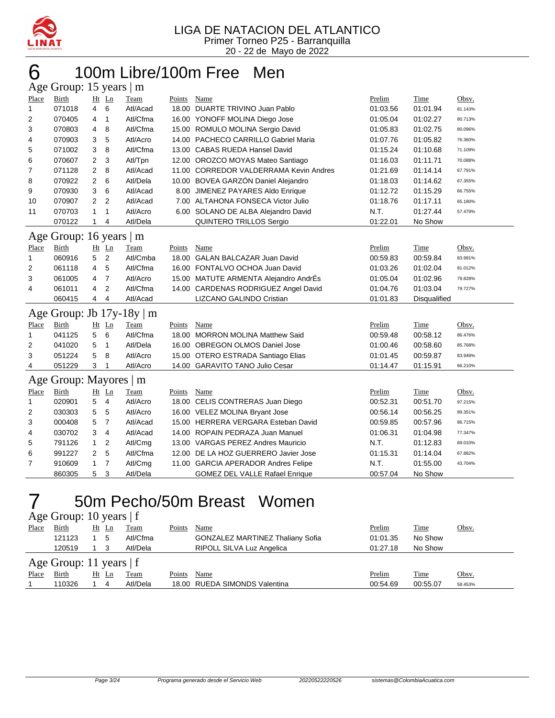

#### 100m Libre/100m Free Men Age Group: 15 years | m

| 1.8 <sup>c</sup> | $O(10\mu)$ . 19 $y$ cars $\mu$ m |                |                         |          |        |                                        |          |              |         |
|------------------|----------------------------------|----------------|-------------------------|----------|--------|----------------------------------------|----------|--------------|---------|
| Place            | Birth                            |                | $Ht$ Ln                 | Team     | Points | Name                                   | Prelim   | Time         | Obsv.   |
| $\mathbf{1}$     | 071018                           | $\overline{4}$ | 6                       | Atl/Acad |        | 18.00 DUARTE TRIVINO Juan Pablo        | 01:03.56 | 01:01.94     | 81.143% |
| 2                | 070405                           | 4              | $\mathbf{1}$            | Atl/Cfma |        | 16.00 YONOFF MOLINA Diego Jose         | 01:05.04 | 01:02.27     | 80.713% |
| 3                | 070803                           | 4              | 8                       | Atl/Cfma |        | 15.00 ROMULO MOLINA Sergio David       | 01:05.83 | 01:02.75     | 80.096% |
| 4                | 070903                           | 3              | 5                       | Atl/Acro |        | 14.00 PACHECO CARRILLO Gabriel Maria   | 01:07.76 | 01:05.82     | 76.360% |
| 5                | 071002                           | 3              | 8                       | Atl/Cfma |        | 13.00 CABAS RUEDA Hansel David         | 01:15.24 | 01:10.68     | 71.109% |
| 6                | 070607                           | $\overline{2}$ | 3                       | Atl/Tpn  |        | 12.00 OROZCO MOYAS Mateo Santiago      | 01:16.03 | 01:11.71     | 70.088% |
| 7                | 071128                           | $\overline{2}$ | 8                       | Atl/Acad |        | 11.00 CORREDOR VALDERRAMA Kevin Andres | 01:21.69 | 01:14.14     | 67.791% |
| 8                | 070922                           | 2              | 6                       | Atl/Dela |        | 10.00 BOVEA GARZÓN Daniel Alejandro    | 01:18.03 | 01:14.62     | 67.355% |
| 9                | 070930                           | 3              | 6                       | Atl/Acad |        | 8.00 JIMENEZ PAYARES Aldo Enrique      | 01:12.72 | 01:15.29     | 66.755% |
| 10               | 070907                           | 2              | $\overline{2}$          | Atl/Acad |        | 7.00 ALTAHONA FONSECA Victor Julio     | 01:18.76 | 01:17.11     | 65.180% |
| 11               | 070703                           | $\mathbf{1}$   | $\mathbf{1}$            | Atl/Acro |        | 6.00 SOLANO DE ALBA Alejandro David    | N.T.     | 01:27.44     | 57.479% |
|                  | 070122                           | 1              | 4                       | Atl/Dela |        | QUINTERO TRILLOS Sergio                | 01:22.01 | No Show      |         |
| Age              | Group: 16 years   m              |                |                         |          |        |                                        |          |              |         |
| Place            | Birth                            |                | $Ht$ Ln                 | Team     | Points | Name                                   | Prelim   | Time         | Obsv.   |
| $\mathbf{1}$     | 060916                           | 5              | $\overline{2}$          | Atl/Cmba |        | 18.00 GALAN BALCAZAR Juan David        | 00:59.83 | 00:59.84     | 83.991% |
| 2                | 061118                           | 4              | 5                       | Atl/Cfma |        | 16.00 FONTALVO OCHOA Juan David        | 01:03.26 | 01:02.04     | 81.012% |
| 3                | 061005                           | 4              | $\overline{7}$          | Atl/Acro |        | 15.00 MATUTE ARMENTA Alejandro AndrÉs  | 01:05.04 | 01:02.96     | 79.828% |
| 4                | 061011                           | 4              | $\overline{\mathbf{c}}$ | Atl/Cfma |        | 14.00 CARDENAS RODRIGUEZ Angel David   | 01:04.76 | 01:03.04     | 79.727% |
|                  | 060415                           | 4              | 4                       | Atl/Acad |        | LIZCANO GALINDO Cristian               | 01:01.83 | Disqualified |         |
|                  | Age Group: Jb 17y-18y            |                |                         | $\mid$ m |        |                                        |          |              |         |
| Place            | <b>Birth</b>                     |                | Ht Ln                   | Team     | Points | Name                                   | Prelim   | Time         | Obsv.   |
| 1                | 041125                           | 5              | 6                       | Atl/Cfma |        | 18.00 MORRON MOLINA Matthew Said       | 00:59.48 | 00:58.12     | 86.476% |
| 2                | 041020                           | 5              | $\mathbf{1}$            | Atl/Dela |        | 16.00 OBREGON OLMOS Daniel Jose        | 01:00.46 | 00:58.60     | 85.768% |
| 3                | 051224                           | 5              | 8                       | Atl/Acro |        | 15.00 OTERO ESTRADA Santiago Elias     | 01:01.45 | 00:59.87     | 83.949% |
| 4                | 051229                           | 3              | $\mathbf 1$             | Atl/Acro |        | 14.00 GARAVITO TANO Julio Cesar        | 01:14.47 | 01:15.91     | 66.210% |
|                  | Age Group: Mayores               |                |                         | m        |        |                                        |          |              |         |
| Place            | Birth                            |                | Ht Ln                   | Team     | Points | Name                                   | Prelim   | Time         | Obsv.   |
| $\mathbf{1}$     | 020901                           | 5              | $\overline{4}$          | Atl/Acro |        | 18.00 CELIS CONTRERAS Juan Diego       | 00:52.31 | 00:51.70     | 97.215% |
| 2                | 030303                           | 5              | 5                       | Atl/Acro |        | 16.00 VELEZ MOLINA Bryant Jose         | 00:56.14 | 00:56.25     | 89.351% |
| 3                | 000408                           | 5              | $\overline{7}$          | Atl/Acad |        | 15.00 HERRERA VERGARA Esteban David    | 00:59.85 | 00:57.96     | 86.715% |
| 4                | 030702                           | 3              | 4                       | Atl/Acad |        | 14.00 ROPAIN PEDRAZA Juan Manuel       | 01:06.31 | 01:04.98     | 77.347% |
| 5                | 791126                           | $\mathbf{1}$   | $\overline{2}$          | Atl/Cmg  |        | 13.00 VARGAS PEREZ Andres Mauricio     | N.T.     | 01:12.83     | 69.010% |
| 6                | 991227                           | $\overline{2}$ | 5                       | Atl/Cfma | 12.00  | DE LA HOZ GUERRERO Javier Jose         | 01:15.31 | 01:14.04     | 67.882% |
| 7                | 910609                           | 1              | $\overline{7}$          | Atl/Cmg  |        | 11.00 GARCIA APERADOR Andres Felipe    | N.T.     | 01:55.00     | 43.704% |
|                  | 860305                           | 5              | 3                       | Atl/Dela |        | <b>GOMEZ DEL VALLE Rafael Enrique</b>  | 00:57.04 | No Show      |         |

### 50m Pecho/50m Breast Women

Age Group: 10 years | f

| Place | Birth                     | $Ht$ Ln | Team     | Points | Name                                    | Prelim   | <b>Time</b> | Obsv.   |
|-------|---------------------------|---------|----------|--------|-----------------------------------------|----------|-------------|---------|
|       | 121123                    | 5       | Atl/Cfma |        | <b>GONZALEZ MARTINEZ Thaliany Sofia</b> | 01:01.35 | No Show     |         |
|       | 120519                    |         | Atl/Dela |        | RIPOLL SILVA Luz Angelica               | 01:27.18 | No Show     |         |
|       | Age Group: 11 years $ f $ |         |          |        |                                         |          |             |         |
| Place | Birth                     | Ht Ln   | Team     | Points | Name                                    | Prelim   | Time        | Obsv.   |
|       | 110326                    | 4       | Atl/Dela |        | 18.00 RUEDA SIMONDS Valentina           | 00:54.69 | 00:55.07    | 58.453% |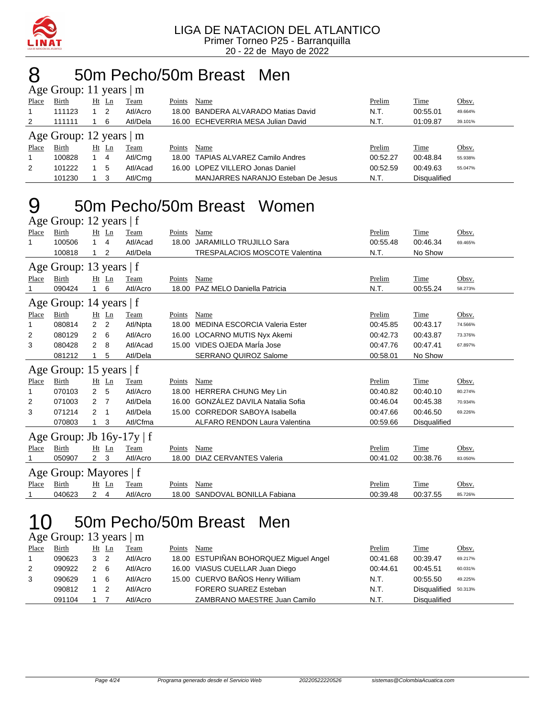

### 8 50m Pecho/50m Breast Men

|       | Age Group: 11 years $ m $ |    |       |          |        |                                     |          |                     |         |
|-------|---------------------------|----|-------|----------|--------|-------------------------------------|----------|---------------------|---------|
| Place | Birth                     | Ht | Ln    | Team     | Points | Name                                | Prelim   | Time                | Obsv.   |
|       | 111123                    |    | 2     | Atl/Acro |        | 18.00 BANDERA ALVARADO Matias David | N.T.     | 00:55.01            | 49.664% |
| 2     | 111111                    |    | 6     | Atl/Dela |        | 16.00 ECHEVERRIA MESA Julian David  | N.T.     | 01:09.87            | 39.101% |
|       | Age Group: 12 years   m   |    |       |          |        |                                     |          |                     |         |
| Place | Birth                     |    | Ht Ln | Team     | Points | Name                                | Prelim   | Time                | Obsv.   |
|       | 100828                    |    | -4    | Atl/Cmg  |        | 18.00 TAPIAS ALVAREZ Camilo Andres  | 00:52.27 | 00:48.84            | 55.938% |
| 2     | 101222                    |    | -5    | Atl/Acad |        | 16.00 LOPEZ VILLERO Jonas Daniel    | 00:52.59 | 00:49.63            | 55.047% |
|       | 101230                    |    | 3     | Atl/Cmg  |        | MANJARRES NARANJO Esteban De Jesus  | N.T.     | <b>Disqualified</b> |         |

# 9 50m Pecho/50m Breast Women

|       | Age Group: 12 years   f        |                |                |          |        |                                       |          |                     |         |
|-------|--------------------------------|----------------|----------------|----------|--------|---------------------------------------|----------|---------------------|---------|
| Place | Birth                          |                | $Ht$ Ln        | Team     | Points | Name                                  | Prelim   | Time                | Obsv.   |
| 1     | 100506                         | $\overline{1}$ | 4              | Atl/Acad | 18.00  | JARAMILLO TRUJILLO Sara               | 00:55.48 | 00:46.34            | 69.465% |
|       | 100818                         |                | 2              | Atl/Dela |        | <b>TRESPALACIOS MOSCOTE Valentina</b> | N.T.     | No Show             |         |
|       | Age Group: 13 years   f        |                |                |          |        |                                       |          |                     |         |
| Place | Birth                          |                | $Ht$ Ln        | Team     | Points | Name                                  | Prelim   | Time                | Obsv.   |
|       | 090424                         |                | 6              | Atl/Acro |        | 18.00 PAZ MELO Daniella Patricia      | N.T.     | 00:55.24            | 58.273% |
|       | Age Group: 14 years   f        |                |                |          |        |                                       |          |                     |         |
| Place | <b>Birth</b>                   |                | $Ht$ Ln        | Team     | Points | Name                                  | Prelim   | Time                | Obsv.   |
| 1     | 080814                         | 2              | 2              | Atl/Npta | 18.00  | MEDINA ESCORCIA Valeria Ester         | 00:45.85 | 00:43.17            | 74.566% |
| 2     | 080129                         | 2              | 6              | Atl/Acro | 16.00  | <b>LOCARNO MUTIS Nyx Akemi</b>        | 00:42.73 | 00:43.87            | 73.376% |
| 3     | 080428                         | 2              | 8              | Atl/Acad |        | 15.00 VIDES OJEDA MarÍa Jose          | 00:47.76 | 00:47.41            | 67.897% |
|       | 081212                         | 1              | 5              | Atl/Dela |        | <b>SERRANO QUIROZ Salome</b>          | 00:58.01 | No Show             |         |
|       | Age Group: 15 years $ f $      |                |                |          |        |                                       |          |                     |         |
| Place | Birth                          |                | Ht Ln          | Team     | Points | Name                                  | Prelim   | Time                | Obsv.   |
| 1     | 070103                         | $\overline{2}$ | 5              | Atl/Acro | 18.00  | <b>HERRERA CHUNG Mey Lin</b>          | 00:40.82 | 00:40.10            | 80.274% |
| 2     | 071003                         | $\overline{2}$ | $\overline{7}$ | Atl/Dela | 16.00  | GONZÁLEZ DAVILA Natalia Sofia         | 00:46.04 | 00:45.38            | 70.934% |
| 3     | 071214                         | 2              | 1              | Atl/Dela | 15.00  | <b>CORREDOR SABOYA Isabella</b>       | 00:47.66 | 00:46.50            | 69.226% |
|       | 070803                         | 1              | 3              | Atl/Cfma |        | ALFARO RENDON Laura Valentina         | 00:59.66 | <b>Disqualified</b> |         |
|       | Age Group: Jb $16y-17y \mid f$ |                |                |          |        |                                       |          |                     |         |
| Place | Birth                          |                | Ht Ln          | Team     | Points | Name                                  | Prelim   | Time                | Obsv.   |
|       | 050907                         | $\overline{2}$ | 3              | Atl/Acro | 18.00  | <b>DIAZ CERVANTES Valeria</b>         | 00:41.02 | 00:38.76            | 83.050% |
|       | Age Group: Mayores   f         |                |                |          |        |                                       |          |                     |         |
| Place | Birth                          | Ht             | Ln             | Team     | Points | Name                                  | Prelim   | Time                | Obsv.   |
|       | 040623                         | $\overline{2}$ | 4              | Atl/Acro | 18.00  | SANDOVAL BONILLA Fabiana              | 00:39.48 | 00:37.55            | 85.726% |

#### 10 50m Pecho/50m Breast Men  $.12$  years  $.19$

|                | $\angle$ Age Group: 15 years $\parallel$ III |       |                |          |        |                                        |          |                     |         |
|----------------|----------------------------------------------|-------|----------------|----------|--------|----------------------------------------|----------|---------------------|---------|
| Place          | Birth                                        | Ht Ln |                | Team     | Points | Name                                   | Prelim   | Time                | Obsv.   |
|                | 090623                                       | 3     | $\overline{2}$ | Atl/Acro |        | 18.00 ESTUPIÑAN BOHORQUEZ Miguel Angel | 00:41.68 | 00:39.47            | 69.217% |
| $\overline{2}$ | 090922                                       | 2     | - 6            | Atl/Acro |        | 16.00 VIASUS CUELLAR Juan Diego        | 00:44.61 | 00:45.51            | 60.031% |
| 3              | 090629                                       |       | - 6            | Atl/Acro |        | 15.00 CUERVO BAÑOS Henry William       | N.T.     | 00:55.50            | 49.225% |
|                | 090812                                       |       |                | Atl/Acro |        | FORERO SUAREZ Esteban                  | N.T.     | Disqualified        | 50.313% |
|                | 091104                                       |       |                | Atl/Acro |        | ZAMBRANO MAESTRE Juan Camilo           | N.T.     | <b>Disqualified</b> |         |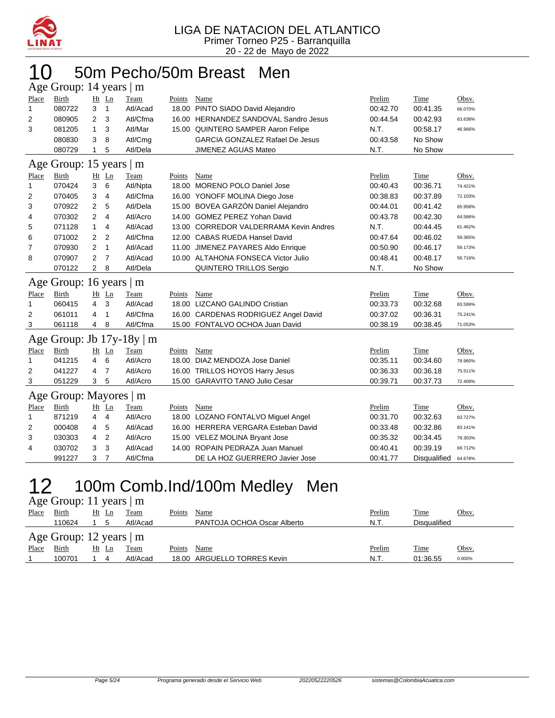

#### 10 50m Pecho/50m Breast Men Age Group: 14 years | m

|                | $\Delta$ ge Oroup. 1+ years $\parallel$ m |                |                |                            |               |                                        |          |             |         |
|----------------|-------------------------------------------|----------------|----------------|----------------------------|---------------|----------------------------------------|----------|-------------|---------|
| Place          | Birth                                     | $Ht$ Ln        |                | Team                       | Points        | Name                                   | Prelim   | Time        | Obsv.   |
| 1              | 080722                                    | 3              | $\overline{1}$ | Atl/Acad                   |               | 18.00 PINTO SIADO David Alejandro      | 00:42.70 | 00:41.35    | 66.070% |
| $\overline{2}$ | 080905                                    | 2              | 3              | Atl/Cfma                   |               | 16.00 HERNANDEZ SANDOVAL Sandro Jesus  | 00:44.54 | 00:42.93    | 63.638% |
| 3              | 081205                                    | 1              | 3              | Atl/Mar                    |               | 15.00 QUINTERO SAMPER Aaron Felipe     | N.T.     | 00:58.17    | 46.966% |
|                | 080830                                    | 3              | 8              | Atl/Cmg                    |               | <b>GARCIA GONZALEZ Rafael De Jesus</b> | 00:43.58 | No Show     |         |
|                | 080729                                    | $\mathbf{1}$   | 5              | Atl/Dela                   |               | JIMENEZ AGUAS Mateo                    | N.T.     | No Show     |         |
|                | Age Group: 15 years   m                   |                |                |                            |               |                                        |          |             |         |
| Place          | Birth                                     | $Ht$ Ln        |                | Team                       | Points        | Name                                   | Prelim   | Time        | Obsv.   |
| 1              | 070424                                    | 3              | 6              | Atl/Npta                   |               | 18.00 MORENO POLO Daniel Jose          | 00:40.43 | 00:36.71    | 74.421% |
| 2              | 070405                                    | 3              | 4              | Atl/Cfma                   |               | 16.00 YONOFF MOLINA Diego Jose         | 00:38.83 | 00:37.89    | 72.103% |
| 3              | 070922                                    | 2              | 5              | Atl/Dela                   |               | 15.00 BOVEA GARZÓN Daniel Alejandro    | 00:44.01 | 00:41.42    | 65.958% |
| 4              | 070302                                    | $\overline{2}$ | 4              | Atl/Acro                   |               | 14.00 GOMEZ PEREZ Yohan David          | 00:43.78 | 00:42.30    | 64.586% |
| 5              | 071128                                    | $\mathbf{1}$   | 4              | Atl/Acad                   |               | 13.00 CORREDOR VALDERRAMA Kevin Andres | N.T.     | 00:44.45    | 61.462% |
| 6              | 071002                                    | 2              | 2              | Atl/Cfma                   |               | 12.00 CABAS RUEDA Hansel David         | 00:47.64 | 00:46.02    | 59.365% |
| 7              | 070930                                    | $\overline{2}$ | $\mathbf{1}$   | Atl/Acad                   |               | 11.00 JIMENEZ PAYARES Aldo Enrique     | 00:50.90 | 00:46.17    | 59.173% |
| 8              | 070907                                    | 2              | $\overline{7}$ | Atl/Acad                   |               | 10.00 ALTAHONA FONSECA Victor Julio    | 00:48.41 | 00:48.17    | 56.716% |
|                | 070122                                    | 2              | 8              | Atl/Dela                   |               | QUINTERO TRILLOS Sergio                | N.T.     | No Show     |         |
|                | Age Group: 16 years   m                   |                |                |                            |               |                                        |          |             |         |
| Place          | Birth                                     | $Ht$ Ln        |                | Team                       | Points        | Name                                   | Prelim   | Time        | Obsv.   |
| $\mathbf 1$    | 060415                                    | 4              | 3              | Atl/Acad                   |               | 18.00 LIZCANO GALINDO Cristian         | 00:33.73 | 00:32.68    | 83.599% |
| 2              | 061011                                    | 4              | $\mathbf{1}$   | Atl/Cfma                   |               | 16.00 CARDENAS RODRIGUEZ Angel David   | 00:37.02 | 00:36.31    | 75.241% |
| 3              | 061118                                    | 4              | 8              | Atl/Cfma                   |               | 15.00 FONTALVO OCHOA Juan David        | 00:38.19 | 00:38.45    | 71.053% |
| Age            |                                           |                |                | Group: Jb $17y-18y \mid m$ |               |                                        |          |             |         |
| Place          | Birth                                     | Ht Ln          |                | Team                       | Points        | Name                                   | Prelim   | Time        | Obsv.   |
| 1              | 041215                                    | 4              | 6              | Atl/Acro                   |               | 18.00 DIAZ MENDOZA Jose Daniel         | 00:35.11 | 00:34.60    | 78.960% |
| $\overline{2}$ | 041227                                    | 4              | 7              | Atl/Acro                   |               | 16.00 TRILLOS HOYOS Harry Jesus        | 00:36.33 | 00:36.18    | 75.511% |
| 3              | 051229                                    | 3              | 5              | Atl/Acro                   |               | 15.00 GARAVITO TANO Julio Cesar        | 00:39.71 | 00:37.73    | 72.409% |
|                |                                           |                |                |                            |               |                                        |          |             |         |
|                |                                           |                |                | m                          |               |                                        |          |             |         |
| Place          | Age Group: Mayores  <br><b>Birth</b>      | Ht Ln          |                | Team                       | <u>Points</u> | Name                                   | Prelim   | <b>Time</b> | Obsv.   |
| 1              | 871219                                    | 4              | $\overline{4}$ | Atl/Acro                   |               | 18.00 LOZANO FONTALVO Miguel Angel     | 00:31.70 | 00:32.63    | 83.727% |
| 2              | 000408                                    | 4              | 5              | Atl/Acad                   |               | 16.00 HERRERA VERGARA Esteban David    | 00:33.48 | 00:32.86    | 83.141% |
| 3              | 030303                                    | 4              | 2              | Atl/Acro                   |               | 15.00 VELEZ MOLINA Bryant Jose         | 00:35.32 | 00:34.45    | 79.303% |
| 4              | 030702                                    | 3              | 3              | Atl/Acad                   |               | 14.00 ROPAIN PEDRAZA Juan Manuel       | 00:40.41 | 00:39.19    | 69.712% |

## 12 100m Comb.Ind/100m Medley Men

#### Age Group: 11 years | m

| Place | Birth                        | Ht Ln |  | <b>Team</b> | Points | Name                        | <b>Prelim</b> | <b>Time</b>  | Obsv.  |  |  |  |
|-------|------------------------------|-------|--|-------------|--------|-----------------------------|---------------|--------------|--------|--|--|--|
|       | 110624                       |       |  | Atl/Acad    |        | PANTOJA OCHOA Oscar Alberto | N.T.          | Disgualified |        |  |  |  |
|       | Age Group: 12 years $\mid$ m |       |  |             |        |                             |               |              |        |  |  |  |
| Place | Birth                        | Ht Ln |  | Team        | Points | Name                        | <b>Prelim</b> | <b>Time</b>  | Obsv.  |  |  |  |
|       | 100701                       |       |  | Atl/Acad    |        | 18.00 ARGUELLO TORRES Kevin | N.T.          | 01:36.55     | 0.000% |  |  |  |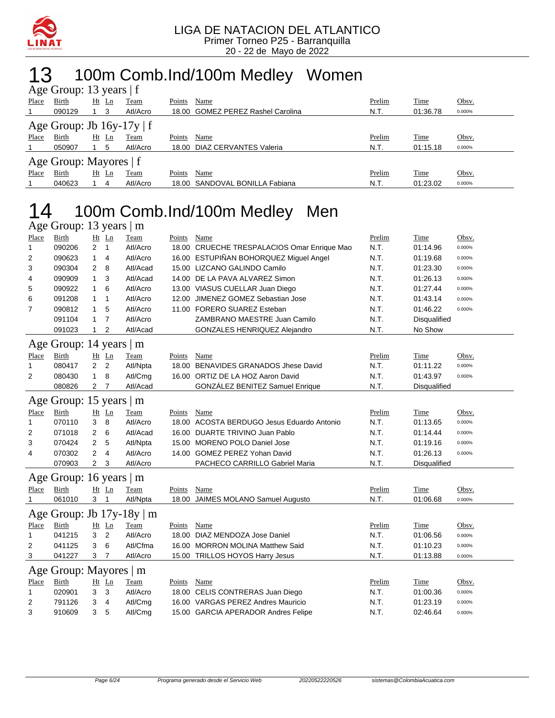

### 13 100m Comb.Ind/100m Medley Women

| Age Group: 13 years $ f $ |                                |          |          |        |                                   |        |          |        |  |  |  |  |
|---------------------------|--------------------------------|----------|----------|--------|-----------------------------------|--------|----------|--------|--|--|--|--|
| Place                     | Birth                          | $Ht$ Ln  | Team     | Points | Name                              | Prelim | Time     | Obsv.  |  |  |  |  |
|                           | 090129                         | - 3      | Atl/Acro |        | 18.00 GOMEZ PEREZ Rashel Carolina | N.T.   | 01:36.78 | 0.000% |  |  |  |  |
|                           | Age Group: Jb $16y-17y \mid f$ |          |          |        |                                   |        |          |        |  |  |  |  |
| Place                     | Birth                          | Ht<br>Ln | Team     | Points | Name                              | Prelim | Time     | Obsv.  |  |  |  |  |
|                           | 050907                         | 5        | Atl/Acro | 18.00  | DIAZ CERVANTES Valeria            | N.T.   | 01:15.18 | 0.000% |  |  |  |  |
| Age Group: Mayores $ f $  |                                |          |          |        |                                   |        |          |        |  |  |  |  |
| Place                     | Birth                          | Ht<br>Ln | Team     | Points | Name                              | Prelim | Time     | Obsv.  |  |  |  |  |
|                           | 040623                         | 4        | Atl/Acro |        | 18.00 SANDOVAL BONILLA Fabiana    | N.T.   | 01:23.02 | 0.000% |  |  |  |  |

## 14 100m Comb.Ind/100m Medley Men

|              | Age Group: 13 years   m |                |                |                           |               |                                             |        |              |        |
|--------------|-------------------------|----------------|----------------|---------------------------|---------------|---------------------------------------------|--------|--------------|--------|
| Place        | <b>Birth</b>            |                | Ht Ln          | Team                      | Points        | <b>Name</b>                                 | Prelim | <b>Time</b>  | Obsv.  |
| 1            | 090206                  | $\overline{2}$ | $\overline{1}$ | Atl/Acro                  |               | 18.00 CRUECHE TRESPALACIOS Omar Enrique Mao | N.T.   | 01:14.96     | 0.000% |
| 2            | 090623                  | $\mathbf{1}$   | $\overline{4}$ | Atl/Acro                  |               | 16.00 ESTUPIÑAN BOHORQUEZ Miguel Angel      | N.T.   | 01:19.68     | 0.000% |
| 3            | 090304                  | 2              | 8              | Atl/Acad                  |               | 15.00 LIZCANO GALINDO Camilo                | N.T.   | 01:23.30     | 0.000% |
| 4            | 090909                  | 1              | 3              | Atl/Acad                  |               | 14.00 DE LA PAVA ALVAREZ Simon              | N.T.   | 01:26.13     | 0.000% |
| 5            | 090922                  | $\mathbf{1}$   | 6              | Atl/Acro                  |               | 13.00 VIASUS CUELLAR Juan Diego             | N.T.   | 01:27.44     | 0.000% |
| 6            | 091208                  | $\mathbf 1$    | $\mathbf{1}$   | Atl/Acro                  |               | 12.00 JIMENEZ GOMEZ Sebastian Jose          | N.T.   | 01:43.14     | 0.000% |
| 7            | 090812                  | 1              | 5              | Atl/Acro                  |               | 11.00 FORERO SUAREZ Esteban                 | N.T.   | 01:46.22     | 0.000% |
|              | 091104                  | $\mathbf{1}$   | $\overline{7}$ | Atl/Acro                  |               | ZAMBRANO MAESTRE Juan Camilo                | N.T.   | Disqualified |        |
|              | 091023                  | $\mathbf{1}$   | 2              | Atl/Acad                  |               | GONZALES HENRIQUEZ Alejandro                | N.T.   | No Show      |        |
|              | Age Group: 14 years   m |                |                |                           |               |                                             |        |              |        |
| Place        | Birth                   |                | $Ht$ Ln        | Team                      | Points        | Name                                        | Prelim | Time         | Obsv.  |
| 1            | 080417                  | $\overline{2}$ | 2              | Atl/Npta                  |               | 18.00 BENAVIDES GRANADOS Jhese David        | N.T.   | 01:11.22     | 0.000% |
| 2            | 080430                  | 1              | 8              | Atl/Cmg                   |               | 16.00 ORTIZ DE LA HOZ Aaron David           | N.T.   | 01:43.97     | 0.000% |
|              | 080826                  | 2              | 7              | Atl/Acad                  |               | <b>GONZALEZ BENITEZ Samuel Enrique</b>      | N.T.   | Disqualified |        |
|              |                         |                |                |                           |               |                                             |        |              |        |
|              | Age Group: 15 years   m |                |                |                           |               |                                             |        |              |        |
| <b>Place</b> | <b>Birth</b>            |                | Ht Ln          | Team                      | Points        | <b>Name</b>                                 | Prelim | <b>Time</b>  | Obsv.  |
| 1            | 070110                  | 3              | 8              | Atl/Acro                  |               | 18.00 ACOSTA BERDUGO Jesus Eduardo Antonio  | N.T.   | 01:13.65     | 0.000% |
| 2            | 071018                  | 2              | 6              | Atl/Acad                  |               | 16.00 DUARTE TRIVINO Juan Pablo             | N.T.   | 01:14.44     | 0.000% |
| 3            | 070424                  | 2              | 5              | Atl/Npta                  |               | 15.00 MORENO POLO Daniel Jose               | N.T.   | 01:19.16     | 0.000% |
| 4            | 070302                  | 2              | 4              | Atl/Acro                  |               | 14.00 GOMEZ PEREZ Yohan David               | N.T.   | 01:26.13     | 0.000% |
|              | 070903                  | $\overline{2}$ | 3              | Atl/Acro                  |               | PACHECO CARRILLO Gabriel Maria              | N.T.   | Disqualified |        |
|              | Age Group: 16 years   m |                |                |                           |               |                                             |        |              |        |
| Place        | Birth                   |                | Ht Ln          | Team                      | Points        | Name                                        | Prelim | Time         | Obsv.  |
| 1            | 061010                  | 3 <sub>1</sub> |                | Atl/Npta                  |               | 18.00 JAIMES MOLANO Samuel Augusto          | N.T.   | 01:06.68     | 0.000% |
|              |                         |                |                | Age Group: Jb 17y-18y   m |               |                                             |        |              |        |
| Place        | Birth                   |                | $Ht$ Ln        | Team                      | Points        | Name                                        | Prelim | Time         | Obsv.  |
| 1            | 041215                  | 3              | $\overline{2}$ | Atl/Acro                  |               | 18.00 DIAZ MENDOZA Jose Daniel              | N.T.   | 01:06.56     | 0.000% |
| 2            | 041125                  | 3              | 6              | Atl/Cfma                  |               | 16.00 MORRON MOLINA Matthew Said            | N.T.   | 01:10.23     | 0.000% |
| 3            | 041227                  | 3              | 7              | Atl/Acro                  |               | 15.00 TRILLOS HOYOS Harry Jesus             | N.T.   | 01:13.88     | 0.000% |
|              | Age Group: Mayores   m  |                |                |                           |               |                                             |        |              |        |
| <b>Place</b> | <b>Birth</b>            |                | Ht Ln          | <b>Team</b>               | <b>Points</b> | Name                                        | Prelim | <b>Time</b>  | Obsv.  |
| 1            | 020901                  | 3              | 3              | Atl/Acro                  |               | 18.00 CELIS CONTRERAS Juan Diego            | N.T.   | 01:00.36     | 0.000% |
| 2            | 791126                  | 3              | 4              | Atl/Cmg                   |               | 16.00 VARGAS PEREZ Andres Mauricio          | N.T.   | 01:23.19     | 0.000% |
| 3            | 910609                  | 3              | 5              | Atl/Cmg                   |               | 15.00 GARCIA APERADOR Andres Felipe         | N.T.   | 02:46.64     | 0.000% |
|              |                         |                |                |                           |               |                                             |        |              |        |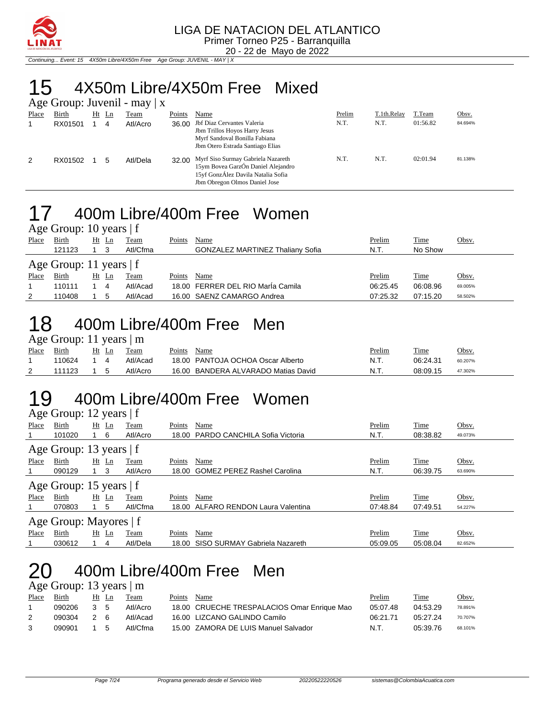

20 - 22 de Mayo de 2022 Continuing... Event: 15 4X50m Libre/4X50m Free Age Group: JUVENIL - MAY | X

## 15 4X50m Libre/4X50m Free Mixed

|       |         |    |    | Age Group: Juvenil - may $ x $ |        |                                                                                                                                                       |        |             |          |         |
|-------|---------|----|----|--------------------------------|--------|-------------------------------------------------------------------------------------------------------------------------------------------------------|--------|-------------|----------|---------|
| Place | Birth   | Ht | Ln | Team                           | Points | Name                                                                                                                                                  | Prelim | T.1th.Relay | T.Team   | Obsv.   |
|       | RX01501 |    | 4  | Atl/Acro                       | 36.00  | Jbf Diaz Cervantes Valeria<br>Jbm Trillos Hoyos Harry Jesus<br>Myrf Sandoval Bonilla Fabiana<br>Jbm Otero Estrada Santiago Elias                      | N.T.   | N.T.        | 01:56.82 | 84.694% |
| 2     | RX01502 |    | 5  | Atl/Dela                       |        | 32.00 Myrf Siso Surmay Gabriela Nazareth<br>15ym Bovea GarzÓn Daniel Alejandro<br>15yf GonzÁlez Davila Natalia Sofia<br>Jbm Obregon Olmos Daniel Jose | N.T.   | N.T.        | 02:01.94 | 81.138% |

## 17 400m Libre/400m Free Women

|       | Age Group: 10 years $ f $ |  |         |          |        |                                         |          |          |         |  |  |  |
|-------|---------------------------|--|---------|----------|--------|-----------------------------------------|----------|----------|---------|--|--|--|
| Place | Birth                     |  | $Ht$ Ln | Team     | Points | Name                                    | Prelim   | Time     | Obsv.   |  |  |  |
|       | 121123                    |  |         | Atl/Cfma |        | <b>GONZALEZ MARTINEZ Thaliany Sofia</b> | N.T.     | No Show  |         |  |  |  |
|       | Age Group: 11 years $ f $ |  |         |          |        |                                         |          |          |         |  |  |  |
| Place | Birth                     |  | Ht Ln   | Team     | Points | Name                                    | Prelim   | Time     | Obsv.   |  |  |  |
|       | 110111                    |  | -4      | Atl/Acad |        | 18.00 FERRER DEL RIO María Camila       | 06:25.45 | 06:08.96 | 69.005% |  |  |  |
| 2     | 110408                    |  | 5       | Atl/Acad |        | 16.00 SAENZ CAMARGO Andrea              | 07:25.32 | 07:15.20 | 58.502% |  |  |  |

### 18 400m Libre/400m Free Men

#### Age Group: 11 years | m

| Place | Birth  | l .n | Team     | Points | Name                                | Prelim | Time     | Obsv.   |
|-------|--------|------|----------|--------|-------------------------------------|--------|----------|---------|
|       | 10624  |      | Atl/Acad |        | 18.00 PANTOJA OCHOA Oscar Alberto   | N.T.   | 06:24.31 | 60.207% |
| -     | 111123 |      | Atl/Acro |        | 16.00 BANDERA ALVARADO Matias David | N.T.   | 08:09.15 | 47.302% |

#### 19 400m Libre/400m Free Women Age Group: 12 years | f

|                           | $\Delta g$ c Oroup. 12 years   1 |               |             |        |                                     |          |          |         |  |  |  |  |  |
|---------------------------|----------------------------------|---------------|-------------|--------|-------------------------------------|----------|----------|---------|--|--|--|--|--|
| Place                     | Birth                            | $Ht$ Ln       | <b>Team</b> | Points | Name                                | Prelim   | Time     | Obsv.   |  |  |  |  |  |
|                           | 101020                           | 6             | Atl/Acro    |        | 18.00 PARDO CANCHILA Sofia Victoria | N.T.     | 08:38.82 | 49.073% |  |  |  |  |  |
|                           | Age Group: 13 years   f          |               |             |        |                                     |          |          |         |  |  |  |  |  |
| Place                     | Birth                            | $Ht$ Ln       | Team        | Points | Name                                | Prelim   | Time     | Obsv.   |  |  |  |  |  |
|                           | 090129                           | 3             | Atl/Acro    | 18.00  | <b>GOMEZ PEREZ Rashel Carolina</b>  | N.T.     | 06:39.75 | 63.690% |  |  |  |  |  |
| Age Group: 15 years $ f $ |                                  |               |             |        |                                     |          |          |         |  |  |  |  |  |
| Place                     | Birth                            | Ht <u>Ln</u>  | Team        | Points | Name                                | Prelim   | Time     | Obsv.   |  |  |  |  |  |
|                           | 070803                           | 5             | Atl/Cfma    |        | 18.00 ALFARO RENDON Laura Valentina | 07:48.84 | 07:49.51 | 54.227% |  |  |  |  |  |
|                           | Age Group: Mayores   f           |               |             |        |                                     |          |          |         |  |  |  |  |  |
| Place                     | Birth                            | H <u>t Ln</u> | Team        | Points | Name                                | Prelim   | Time     | Obsv.   |  |  |  |  |  |
|                           | 030612                           | 4             | Atl/Dela    | 18.00  | SISO SURMAY Gabriela Nazareth       | 05:09.05 | 05:08.04 | 82.652% |  |  |  |  |  |

### 20 400m Libre/400m Free Men

Age Group: 13 years | m

| Place | Birth  | Ht Ln       | Team     | Points | Name                                        | Prelim   | Time     | Obsv.   |
|-------|--------|-------------|----------|--------|---------------------------------------------|----------|----------|---------|
|       | 090206 | $3 \quad 5$ | Atl/Acro |        | 18.00 CRUECHE TRESPALACIOS Omar Enrique Mao | 05:07.48 | 04:53.29 | 78.891% |
|       | 090304 | 2 G         | Atl/Acad |        | 16.00 LIZCANO GALINDO Camilo                | በ6 21 71 | 05:27.24 | 70.707% |
|       | 090901 | 1 5         | Atl/Cfma |        | 15.00 ZAMORA DE LUIS Manuel Salvador        | N.T      | 05:39.76 | 68.101% |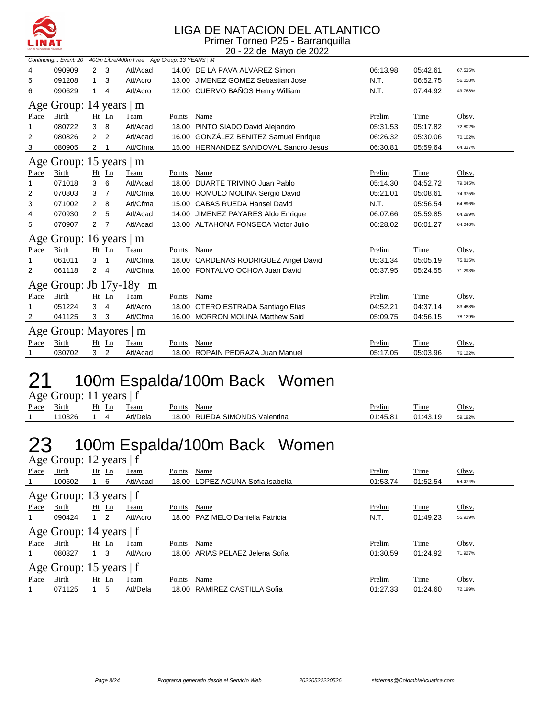

### LIGA DE NATACION DEL ATLANTICO

Primer Torneo P25 - Barranquilla 20 - 22 de Mayo de 2022

|       | Continuing Event: 20     |                |                | 400m Libre/400m Free Age Group: 13 YEARS   M |        |                                       |          |          |         |
|-------|--------------------------|----------------|----------------|----------------------------------------------|--------|---------------------------------------|----------|----------|---------|
| 4     | 090909                   | 2              | 3              | Atl/Acad                                     |        | 14.00 DE LA PAVA ALVAREZ Simon        | 06:13.98 | 05:42.61 | 67.535% |
| 5     | 091208                   | 1              | 3              | Atl/Acro                                     | 13.00  | JIMENEZ GOMEZ Sebastian Jose          | N.T.     | 06:52.75 | 56.058% |
| 6     | 090629                   | 1              | 4              | Atl/Acro                                     |        | 12.00 CUERVO BAÑOS Henry William      | N.T.     | 07:44.92 | 49.768% |
|       | Age Group: 14 years   m  |                |                |                                              |        |                                       |          |          |         |
| Place | <b>Birth</b>             |                | Ht Ln          | Team                                         | Points | Name                                  | Prelim   | Time     | Obsv.   |
| 1     | 080722                   | 3              | 8              | Atl/Acad                                     | 18.00  | PINTO SIADO David Alejandro           | 05:31.53 | 05:17.82 | 72.802% |
| 2     | 080826                   | 2              | $\overline{2}$ | Atl/Acad                                     |        | 16.00 GONZÁLEZ BENITEZ Samuel Enrique | 06:26.32 | 05:30.06 | 70.102% |
| 3     | 080905                   | 2              |                | Atl/Cfma                                     |        | 15.00 HERNANDEZ SANDOVAL Sandro Jesus | 06:30.81 | 05:59.64 | 64.337% |
|       | Age Group: 15 years $ m$ |                |                |                                              |        |                                       |          |          |         |
| Place | <b>Birth</b>             |                | $Ht$ Ln        | Team                                         | Points | Name                                  | Prelim   | Time     | Obsv.   |
| 1     | 071018                   | 3              | 6              | Atl/Acad                                     |        | 18.00 DUARTE TRIVINO Juan Pablo       | 05:14.30 | 04:52.72 | 79.045% |
| 2     | 070803                   | 3              | $\overline{7}$ | Atl/Cfma                                     |        | 16.00 ROMULO MOLINA Sergio David      | 05:21.01 | 05:08.61 | 74.975% |
| 3     | 071002                   | $\overline{2}$ | 8              | Atl/Cfma                                     |        | 15.00 CABAS RUEDA Hansel David        | N.T.     | 05:56.54 | 64.896% |
| 4     | 070930                   | 2              | 5              | Atl/Acad                                     |        | 14.00 JIMENEZ PAYARES Aldo Enrique    | 06:07.66 | 05:59.85 | 64.299% |
| 5     | 070907                   | 2              | $\overline{7}$ | Atl/Acad                                     |        | 13.00 ALTAHONA FONSECA Victor Julio   | 06:28.02 | 06:01.27 | 64.046% |
|       | Age Group: 16 years   m  |                |                |                                              |        |                                       |          |          |         |
| Place | <b>Birth</b>             |                | Ht Ln          | Team                                         | Points | Name                                  | Prelim   | Time     | Obsv.   |
|       | 061011                   | 3              | 1              | Atl/Cfma                                     | 18.00  | <b>CARDENAS RODRIGUEZ Angel David</b> | 05:31.34 | 05:05.19 | 75.815% |
| 2     | 061118                   | 2              | 4              | Atl/Cfma                                     |        | 16.00 FONTALVO OCHOA Juan David       | 05:37.95 | 05:24.55 | 71.293% |
|       |                          |                |                | Age Group: Jb $17y-18y \mid m$               |        |                                       |          |          |         |
| Place | <b>Birth</b>             |                | $Ht$ Ln        | Team                                         | Points | Name                                  | Prelim   | Time     | Obsv.   |
|       | 051224                   | 3              | 4              | Atl/Acro                                     | 18.00  | OTERO ESTRADA Santiago Elias          | 04:52.21 | 04:37.14 | 83.488% |
| 2     | 041125                   | 3              | 3              | Atl/Cfma                                     |        | 16.00 MORRON MOLINA Matthew Said      | 05:09.75 | 04:56.15 | 78.129% |
|       | Age Group: Mayores   m   |                |                |                                              |        |                                       |          |          |         |
| Place | Birth                    |                | $Ht$ Ln        | Team                                         | Points | Name                                  | Prelim   | Time     | Obsv.   |
|       | 030702                   | 3 <sup>1</sup> | $\overline{2}$ | Atl/Acad                                     |        | 18.00 ROPAIN PEDRAZA Juan Manuel      | 05:17.05 | 05:03.96 | 76.122% |

## 21 100m Espalda/100m Back Women

Age Group: 11 years | f

| Place | $\sim$<br>$-$ .<br>Birth | H1<br>Ln | eam             | $\sim$<br>Name<br>Points                                                    | Prelim  | m.<br>ı'ıme | <b>Jhsv</b> |
|-------|--------------------------|----------|-----------------|-----------------------------------------------------------------------------|---------|-------------|-------------|
|       |                          |          | <b>ktl/Dela</b> | <sup>/</sup> MONDS™<br>18.0 <sup>c</sup><br><b>RUF</b><br>'NД.<br>Valentina | $AE$ 04 |             | 59.192%     |

## 23 100m Espalda/100m Back Women

|       | Age Group: 12 years   f   |             |          |                                     |          |          |         |  |  |  |  |  |  |
|-------|---------------------------|-------------|----------|-------------------------------------|----------|----------|---------|--|--|--|--|--|--|
| Place | Birth                     | Ht Ln       | Team     | Name<br>Points                      | Prelim   | Time     | Obsv.   |  |  |  |  |  |  |
|       | 100502                    | - 6         | Atl/Acad | LOPEZ ACUNA Sofia Isabella<br>18.00 | 01:53.74 | 01:52.54 | 54.274% |  |  |  |  |  |  |
|       | Age Group: 13 years   f   |             |          |                                     |          |          |         |  |  |  |  |  |  |
| Place | Birth                     | Ht Ln       | Team     | Name<br>Points                      | Prelim   | Time     | Obsv.   |  |  |  |  |  |  |
|       | 090424                    | 2           | Atl/Acro | 18.00 PAZ MELO Daniella Patricia    | N.T.     | 01:49.23 | 55.919% |  |  |  |  |  |  |
|       | Age Group: 14 years   f   |             |          |                                     |          |          |         |  |  |  |  |  |  |
| Place | Birth                     | $Ht$ $Ln$   | Team     | Points<br>Name                      | Prelim   | Time     | Obsv.   |  |  |  |  |  |  |
|       | 080327                    | $1 \quad 3$ | Atl/Acro | ARIAS PELAEZ Jelena Sofia<br>18.00  | 01:30.59 | 01:24.92 | 71.927% |  |  |  |  |  |  |
|       | Age Group: 15 years $ f $ |             |          |                                     |          |          |         |  |  |  |  |  |  |
|       |                           |             |          |                                     |          |          |         |  |  |  |  |  |  |
| Place | Birth                     | $Ht$ Ln     | Team     | Points<br>Name                      | Prelim   | Time     | Obsv.   |  |  |  |  |  |  |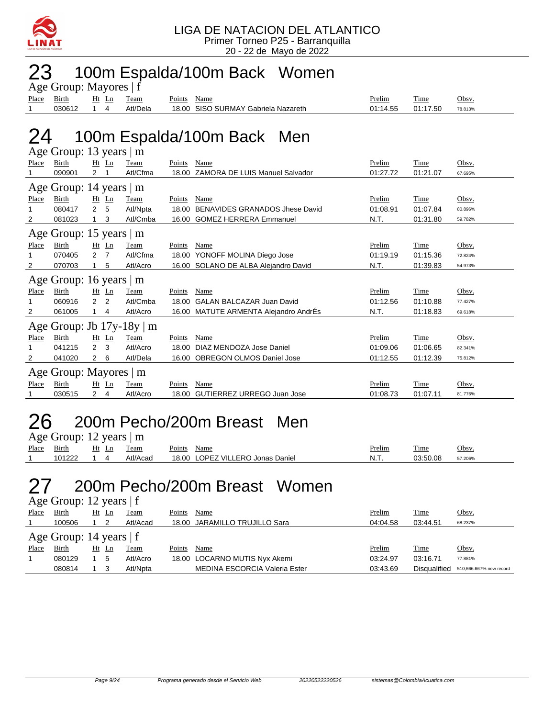

### 23 100m Espalda/100m Back Women

| Age Group: Mayores   f |        |       |  |          |        |                                     |          |          |         |  |  |
|------------------------|--------|-------|--|----------|--------|-------------------------------------|----------|----------|---------|--|--|
| Place                  | Birth  | Ht Ln |  | Team     | Points | Name                                | Prelim   | Time     | Obsv.   |  |  |
|                        | 030612 |       |  | Atl/Dela |        | 18.00 SISO SURMAY Gabriela Nazareth | 01:14.55 | 01:17.50 | 78.813% |  |  |

### 24 100m Espalda/100m Back Men

|       | Age Group: 13 years   m        |                |                |          |        |                                       |          |          |         |
|-------|--------------------------------|----------------|----------------|----------|--------|---------------------------------------|----------|----------|---------|
| Place | Birth                          |                | $Ht$ Ln        | Team     | Points | Name                                  | Prelim   | Time     | Obsv.   |
|       | 090901                         | 2              |                | Atl/Cfma | 18.00  | <b>ZAMORA DE LUIS Manuel Salvador</b> | 01:27.72 | 01:21.07 | 67.695% |
|       | Age Group: 14 years   m        |                |                |          |        |                                       |          |          |         |
| Place | <b>Birth</b>                   |                | Ht Ln          | Team     | Points | Name                                  | Prelim   | Time     | Obsv.   |
|       | 080417                         | $\overline{2}$ | 5              | Atl/Npta | 18.00  | <b>BENAVIDES GRANADOS Jhese David</b> | 01:08.91 | 01:07.84 | 80.896% |
| 2     | 081023                         |                | 3              | Atl/Cmba | 16.00  | <b>GOMEZ HERRERA Emmanuel</b>         | N.T.     | 01:31.80 | 59.782% |
|       | Age Group: 15 years   m        |                |                |          |        |                                       |          |          |         |
| Place | Birth                          |                | $Ht$ Ln        | Team     | Points | Name                                  | Prelim   | Time     | Obsv.   |
| 1     | 070405                         | $\overline{2}$ | $\overline{7}$ | Atl/Cfma | 18.00  | YONOFF MOLINA Diego Jose              | 01:19.19 | 01:15.36 | 72.824% |
| 2     | 070703                         |                | 5              | Atl/Acro |        | 16.00 SOLANO DE ALBA Alejandro David  | N.T.     | 01:39.83 | 54.973% |
|       | Age Group: 16 years   m        |                |                |          |        |                                       |          |          |         |
| Place | Birth                          |                | $Ht$ Ln        | Team     | Points | Name                                  | Prelim   | Time     | Obsv.   |
| 1     | 060916                         | $\overline{2}$ | $\overline{2}$ | Atl/Cmba | 18.00  | <b>GALAN BALCAZAR Juan David</b>      | 01:12.56 | 01:10.88 | 77.427% |
| 2     | 061005                         |                | 4              | Atl/Acro | 16.00  | MATUTE ARMENTA Alejandro AndrÉs       | N.T.     | 01:18.83 | 69.618% |
|       | Age Group: Jb $17y-18y \mid m$ |                |                |          |        |                                       |          |          |         |
| Place | <b>Birth</b>                   |                | Ht Ln          | Team     | Points | Name                                  | Prelim   | Time     | Obsv.   |
| 1     | 041215                         | 2              | 3              | Atl/Acro | 18.00  | DIAZ MENDOZA Jose Daniel              | 01:09.06 | 01:06.65 | 82.341% |
| 2     | 041020                         | $\overline{2}$ | 6              | Atl/Dela | 16.00  | <b>OBREGON OLMOS Daniel Jose</b>      | 01:12.55 | 01:12.39 | 75.812% |
|       | Age Group: Mayores   m         |                |                |          |        |                                       |          |          |         |
| Place | <b>Birth</b>                   |                | $Ht$ Ln        | Team     | Points | Name                                  | Prelim   | Time     | Obsv.   |
| 1     | 030515                         | 2              | 4              | Atl/Acro | 18.00  | GUTIERREZ URREGO Juan Jose            | 01:08.73 | 01:07.11 | 81.776% |

#### 26 200m Pecho/200m Breast Men Age Group: 12 years | m

|       |              | -----    |          |                                     |        |             |         |
|-------|--------------|----------|----------|-------------------------------------|--------|-------------|---------|
| Place | <b>Birth</b> | Ht<br>Ln | Team     | <b>Points</b><br>Name               | Prelim | m.<br>l'ime | Obsv.   |
|       | 101222       |          | Atl/Acad | LOPEZ VILLERO Jonas Daniel<br>18.00 | N.T.   | 03:50.08    | 57.206% |

### 27 200m Pecho/200m Breast Women

Age Group: 12 years  $| f |$ 

| Place | Birth                     | Ht Ln | Team        | Points | Name                                 | Prelim   | Time         | Obsv.                   |
|-------|---------------------------|-------|-------------|--------|--------------------------------------|----------|--------------|-------------------------|
|       | 100506                    |       | Atl/Acad    |        | 18.00 JARAMILLO TRUJILLO Sara        | 04:04.58 | 03:44.51     | 68.237%                 |
|       | Age Group: 14 years $ f $ |       |             |        |                                      |          |              |                         |
| Place | <b>Birth</b>              | Ht Ln | <b>Team</b> | Points | Name                                 | Prelim   | Time         | Obsv.                   |
|       | 080129                    | 5     | Atl/Acro    |        | 18.00 LOCARNO MUTIS Nyx Akemi        | 03:24.97 | 03:16.71     | 77.881%                 |
|       | 080814                    |       | Atl/Npta    |        | <b>MEDINA ESCORCIA Valeria Ester</b> | 03:43.69 | Disqualified | 510,666.667% new record |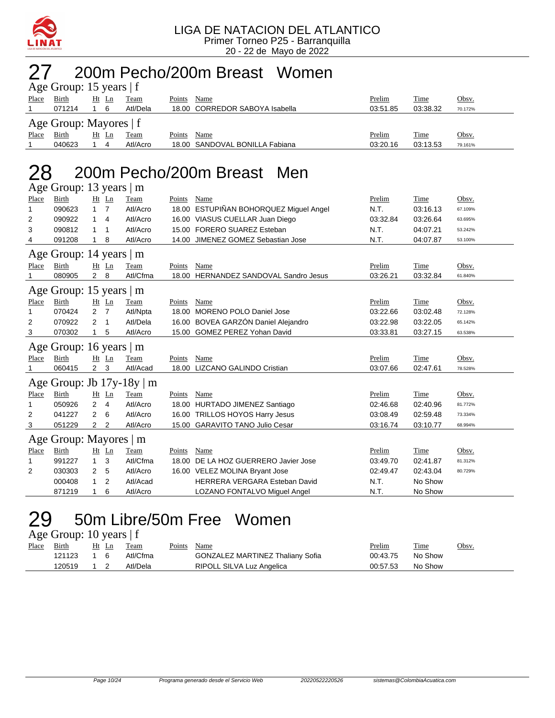

# 27 200m Pecho/200m Breast Women

|       | Age Group: 15 years $ f $ |         |          |                                |          |          |              |
|-------|---------------------------|---------|----------|--------------------------------|----------|----------|--------------|
| Place | Birth                     | $Ht$ Ln | Team     | Name<br>Points                 | Prelim   | Time     | <u>Obsv.</u> |
|       | 071214                    | -6      | Atl/Dela | 18.00 CORREDOR SABOYA Isabella | 03:51.85 | 03:38.32 | 70.172%      |
|       | Age Group: Mayores   f    |         |          |                                |          |          |              |
| Place | Birth                     | Ht Ln   | Team     | Name<br>Points                 | Prelim   | Time     | <u>Obsv.</u> |
|       | 040623                    | 4       | Atl/Acro | 18.00 SANDOVAL BONILLA Fabiana | 03:20.16 | 03:13.53 | 79.161%      |

#### 28 200m Pecho/200m Breast Men  $\overline{\mathsf{A}}$ ge Group: 13 years  $\mathsf{m}$

|       | $\text{Age}$ Oroup. To years $\mid$ III |                |                |                                |        |                                        |          |          |         |
|-------|-----------------------------------------|----------------|----------------|--------------------------------|--------|----------------------------------------|----------|----------|---------|
| Place | Birth                                   |                | Ht Ln          | Team                           | Points | Name                                   | Prelim   | Time     | Obsv.   |
| 1     | 090623                                  | $\mathbf{1}$   | $\overline{7}$ | Atl/Acro                       |        | 18.00 ESTUPIÑAN BOHORQUEZ Miguel Angel | N.T.     | 03:16.13 | 67.109% |
| 2     | 090922                                  | 1              | 4              | Atl/Acro                       |        | 16.00 VIASUS CUELLAR Juan Diego        | 03:32.84 | 03:26.64 | 63.695% |
| 3     | 090812                                  | 1              | 1              | Atl/Acro                       |        | 15.00 FORERO SUAREZ Esteban            | N.T.     | 04:07.21 | 53.242% |
| 4     | 091208                                  | 1              | 8              | Atl/Acro                       |        | 14.00 JIMENEZ GOMEZ Sebastian Jose     | N.T.     | 04:07.87 | 53.100% |
|       | Age Group: 14 years   m                 |                |                |                                |        |                                        |          |          |         |
| Place | Birth                                   |                | Ht Ln          | Team                           | Points | Name                                   | Prelim   | Time     | Obsv.   |
|       | 080905                                  | $2 \quad 8$    |                | Atl/Cfma                       |        | 18.00 HERNANDEZ SANDOVAL Sandro Jesus  | 03:26.21 | 03:32.84 | 61.840% |
|       | Age Group: 15 years   m                 |                |                |                                |        |                                        |          |          |         |
| Place | Birth                                   |                | $Ht$ Ln        | Team                           | Points | Name                                   | Prelim   | Time     | Obsv.   |
| 1     | 070424                                  | $\overline{2}$ | $\overline{7}$ | Atl/Npta                       | 18.00  | MORENO POLO Daniel Jose                | 03:22.66 | 03:02.48 | 72.128% |
| 2     | 070922                                  | 2              | $\mathbf{1}$   | Atl/Dela                       |        | 16.00 BOVEA GARZÓN Daniel Alejandro    | 03:22.98 | 03:22.05 | 65.142% |
| 3     | 070302                                  |                | 5              | Atl/Acro                       |        | 15.00 GOMEZ PEREZ Yohan David          | 03:33.81 | 03:27.15 | 63.538% |
|       | Age Group: 16 years $\vert$ m           |                |                |                                |        |                                        |          |          |         |
| Place | <b>Birth</b>                            |                | Ht Ln          | Team                           | Points | Name                                   | Prelim   | Time     | Obsv.   |
|       | 060415                                  | $2^{\circ}$    | 3              | Atl/Acad                       |        | 18.00 LIZCANO GALINDO Cristian         | 03:07.66 | 02:47.61 | 78.528% |
|       |                                         |                |                | Age Group: Jb $17y-18y \mid m$ |        |                                        |          |          |         |
| Place | Birth                                   |                | Ht Ln          | Team                           | Points | Name                                   | Prelim   | Time     | Obsv.   |
| 1     | 050926                                  | $\overline{2}$ | $\overline{4}$ | Atl/Acro                       |        | 18.00 HURTADO JIMENEZ Santiago         | 02:46.68 | 02:40.96 | 81.772% |
| 2     | 041227                                  | 2              | 6              | Atl/Acro                       |        | 16.00 TRILLOS HOYOS Harry Jesus        | 03:08.49 | 02:59.48 | 73.334% |
| 3     | 051229                                  | 2              | $\overline{2}$ | Atl/Acro                       |        | 15.00 GARAVITO TANO Julio Cesar        | 03:16.74 | 03:10.77 | 68.994% |
|       | Age Group: Mayores   m                  |                |                |                                |        |                                        |          |          |         |
| Place | <b>Birth</b>                            |                | Ht Ln          | Team                           | Points | Name                                   | Prelim   | Time     | Obsv.   |
| 1     | 991227                                  | $\mathbf{1}$   | 3              | Atl/Cfma                       | 18.00  | DE LA HOZ GUERRERO Javier Jose         | 03:49.70 | 02:41.87 | 81.312% |
| 2     | 030303                                  | $\overline{2}$ | 5              | Atl/Acro                       |        | 16.00 VELEZ MOLINA Bryant Jose         | 02:49.47 | 02:43.04 | 80.729% |
|       | 000408                                  | 1              | 2              | Atl/Acad                       |        | HERRERA VERGARA Esteban David          | N.T.     | No Show  |         |
|       | 871219                                  | 1              | 6              | Atl/Acro                       |        | LOZANO FONTALVO Miguel Angel           | N.T.     | No Show  |         |
|       |                                         |                |                |                                |        |                                        |          |          |         |

## 29 50m Libre/50m Free Women

Age Group: 10 years | f

| Place | <u>Birth</u> | Ht Ln | Team     | Points Name                             | <b>Prelim</b> | <b>Time</b> | Obsv. |
|-------|--------------|-------|----------|-----------------------------------------|---------------|-------------|-------|
|       | 121123       | 16    | Atl/Cfma | <b>GONZALEZ MARTINEZ Thaliany Sofia</b> | 00:43.75      | No Show     |       |
|       | 120519       |       | Atl/Dela | RIPOLL SILVA Luz Angelica               | 00:57.53      | No Show     |       |
|       |              |       |          |                                         |               |             |       |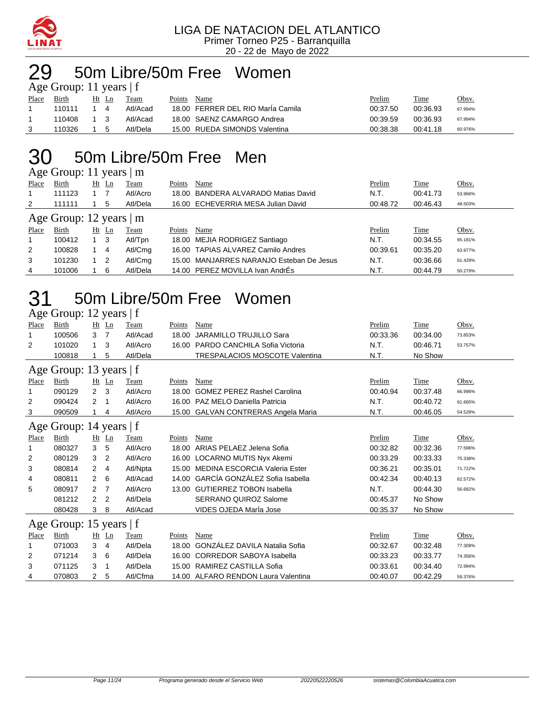

## 50m Libre/50m Free Women

|              | Age Group: 11 years $ f $ |     |       |          |        |                                   |          |          |         |
|--------------|---------------------------|-----|-------|----------|--------|-----------------------------------|----------|----------|---------|
| <b>Place</b> | Birth                     |     | Ht Ln | Team     | Points | Name                              | Prelim   | Time     | Obsv.   |
|              | 110111                    |     |       | Atl/Acad |        | 18.00 FERRER DEL RIO María Camila | 00:37.50 | 00:36.93 | 67.994% |
|              | 110408                    | 1 3 |       | Atl/Acad |        | 18.00 SAENZ CAMARGO Andrea        | 00:39.59 | 00:36.93 | 67.994% |
|              | 110326                    |     |       | Atl/Dela |        | 15.00 RUEDA SIMONDS Valentina     | 00:38.38 | 00:41.18 | 60.976% |

### 50m Libre/50m Free Men

Age Group: 11 years | m

| Place | <b>Birth</b>                  | $Ht$ Ln        | Team     | Points | Name                                     | Prelim   | <b>Time</b> | Obsv.   |
|-------|-------------------------------|----------------|----------|--------|------------------------------------------|----------|-------------|---------|
|       | 111123                        |                | Atl/Acro |        | 18.00 BANDERA ALVARADO Matias David      | N.T.     | 00:41.73    | 53.966% |
| 2     | 111111                        | 5              | Atl/Dela |        | 16.00 ECHEVERRIA MESA Julian David       | 00:48.72 | 00:46.43    | 48.503% |
|       | Age Group: 12 years $\vert$ m |                |          |        |                                          |          |             |         |
| Place | <b>Birth</b>                  | Ht Ln          | Team     | Points | Name                                     | Prelim   | Time        | Obsv.   |
|       | 100412                        | - 3            | Atl/Tpn  |        | 18.00 MEJIA RODRIGEZ Santiago            | N.T.     | 00:34.55    | 65.181% |
| 2     | 100828                        | 4              | Atl/Cmg  |        | 16.00 TAPIAS ALVAREZ Camilo Andres       | 00:39.61 | 00:35.20    | 63.977% |
| 3     | 101230                        | $\overline{2}$ | Atl/Cmg  |        | 15.00 MANJARRES NARANJO Esteban De Jesus | N.T.     | 00:36.66    | 61.429% |
| 4     | 101006                        | 6              | Atl/Dela |        | 14.00 PEREZ MOVILLA Ivan AndrÉs          | N.T.     | 00:44.79    | 50.279% |
|       |                               |                |          |        |                                          |          |             |         |

#### 50m Libre/50m Free Women Age Group: 12 years  $|f|$

| <b>Birth</b> | Ht             | Ln             | Team              | Points                                                                          | Name                                  | Prelim                                                                                                                                                                                       | <b>Time</b> | Obsv.   |
|--------------|----------------|----------------|-------------------|---------------------------------------------------------------------------------|---------------------------------------|----------------------------------------------------------------------------------------------------------------------------------------------------------------------------------------------|-------------|---------|
| 100506       | 3              | $\overline{7}$ | Atl/Acad          | 18.00                                                                           | <b>JARAMILLO TRUJILLO Sara</b>        | 00:33.36                                                                                                                                                                                     | 00:34.00    | 73.853% |
| 101020       | 1              | 3              | Atl/Acro          | 16.00                                                                           | PARDO CANCHILA Sofia Victoria         | N.T.                                                                                                                                                                                         | 00:46.71    | 53.757% |
| 100818       |                | 5              | Atl/Dela          |                                                                                 | <b>TRESPALACIOS MOSCOTE Valentina</b> | N.T.                                                                                                                                                                                         | No Show     |         |
|              |                |                |                   |                                                                                 |                                       |                                                                                                                                                                                              |             |         |
| Birth        | Ht             | $\mathbf{L}$ n | Team              | Points                                                                          | Name                                  | Prelim                                                                                                                                                                                       | Time        | Obsv.   |
| 090129       | $\overline{2}$ | 3              | Atl/Acro          | 18.00                                                                           | <b>GOMEZ PEREZ Rashel Carolina</b>    | 00:40.94                                                                                                                                                                                     | 00:37.48    | 66.996% |
| 090424       | 2              | -1             | Atl/Acro          | 16.00                                                                           | PAZ MELO Daniella Patricia            | N.T.                                                                                                                                                                                         | 00:40.72    | 61.665% |
| 090509       |                | 4              | Atl/Acro          |                                                                                 |                                       | N.T.                                                                                                                                                                                         | 00:46.05    | 54.528% |
|              |                |                |                   |                                                                                 |                                       |                                                                                                                                                                                              |             |         |
| Birth        |                | $\mathbf{L}$ n | Team              | Points                                                                          | Name                                  | Prelim                                                                                                                                                                                       | Time        | Obsv.   |
| 080327       | 3              | 5              | Atl/Acro          | 18.00                                                                           | ARIAS PELAEZ Jelena Sofia             | 00:32.82                                                                                                                                                                                     | 00:32.36    | 77.596% |
| 080129       | 3              | 2              | Atl/Acro          | 16.00                                                                           | LOCARNO MUTIS Nyx Akemi               | 00:33.29                                                                                                                                                                                     | 00:33.33    | 75.338% |
| 080814       | $\overline{2}$ | 4              | Atl/Npta          | 15.00                                                                           | MEDINA ESCORCIA Valeria Ester         | 00:36.21                                                                                                                                                                                     | 00:35.01    | 71.722% |
| 080811       | $\overline{2}$ | 6              | Atl/Acad          | 14.00                                                                           |                                       | 00:42.34                                                                                                                                                                                     | 00:40.13    | 62.572% |
| 080917       | $\overline{2}$ |                | Atl/Acro          | 13.00                                                                           | <b>GUTIERREZ TOBON Isabella</b>       | N.T.                                                                                                                                                                                         | 00:44.30    | 56.682% |
| 081212       | $\overline{2}$ | 2              | Atl/Dela          |                                                                                 | <b>SERRANO QUIROZ Salome</b>          | 00:45.37                                                                                                                                                                                     | No Show     |         |
| 080428       | 3              | 8              | Atl/Acad          |                                                                                 | VIDES OJEDA Marla Jose                | 00:35.37                                                                                                                                                                                     | No Show     |         |
|              |                |                |                   |                                                                                 |                                       |                                                                                                                                                                                              |             |         |
| Birth        |                |                | Team              | Points                                                                          | Name                                  | Prelim                                                                                                                                                                                       | Time        | Obsv.   |
| 071003       | 3              | 4              | Atl/Dela          | 18.00                                                                           | <b>GONZÁLEZ DAVILA Natalia Sofia</b>  | 00:32.67                                                                                                                                                                                     | 00:32.48    | 77.309% |
| 071214       | 3              | 6              | Atl/Dela          | 16.00                                                                           |                                       | 00:33.23                                                                                                                                                                                     | 00:33.77    | 74.356% |
| 071125       | 3              | 1              | Atl/Dela          |                                                                                 |                                       | 00:33.61                                                                                                                                                                                     | 00:34.40    | 72.994% |
| 070803       | 2              | 5              | Atl/Cfma          |                                                                                 |                                       | 00:40.07                                                                                                                                                                                     | 00:42.29    | 59.376% |
|              |                |                | Ht<br>-7<br>Ht Ln | Age Group: 13 years   f<br>Age Group: 14 years   f<br>Age Group: 15 years $ f $ |                                       | <b>GALVAN CONTRERAS Angela Maria</b><br>15.00<br>GARCÍA GONZÁLEZ Sofia Isabella<br><b>CORREDOR SABOYA Isabella</b><br>RAMIREZ CASTILLA Sofia<br>15.00<br>14.00 ALFARO RENDON Laura Valentina |             |         |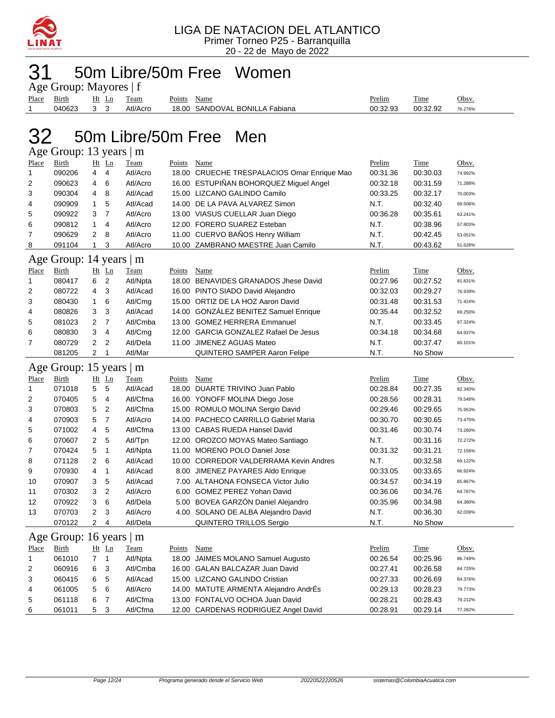

# 50m Libre/50m Free Women

|             | Age Group: Mayores   f |       |          |             |                                |          |          |         |
|-------------|------------------------|-------|----------|-------------|--------------------------------|----------|----------|---------|
| Place Birth |                        | Ht Ln | Team     | Points Name |                                | Prelim   | Time     | Obsv.   |
|             | 040623                 | 3 3   | Atl/Acro |             | 18.00 SANDOVAL BONILLA Fabiana | 00:32.93 | 00:32.92 | 76.276% |

## 50m Libre/50m Free Men

Age Group: 13 years | m

| Place          | Birth                   |                | $Ht$ Ln        | Team     | <b>Points</b> | Name                                        | Prelim   | Time        | Obsv.   |
|----------------|-------------------------|----------------|----------------|----------|---------------|---------------------------------------------|----------|-------------|---------|
| $\mathbf{1}$   | 090206                  | 4              | 4              | Atl/Acro |               | 18.00 CRUECHE TRESPALACIOS Omar Enrique Mao | 00:31.36 | 00:30.03    | 74.992% |
| $\overline{2}$ | 090623                  | 4              | 6              | Atl/Acro |               | 16.00 ESTUPIÑAN BOHORQUEZ Miguel Angel      | 00:32.18 | 00:31.59    | 71.288% |
| 3              | 090304                  | 4              | 8              | Atl/Acad |               | 15.00 LIZCANO GALINDO Camilo                | 00:33.25 | 00:32.17    | 70.003% |
| 4              | 090909                  | 1              | 5              | Atl/Acad |               | 14.00 DE LA PAVA ALVAREZ Simon              | N.T.     | 00:32.40    | 69.506% |
| 5              | 090922                  | 3              | $\overline{7}$ | Atl/Acro |               | 13.00 VIASUS CUELLAR Juan Diego             | 00:36.28 | 00:35.61    | 63.241% |
| 6              | 090812                  | $\mathbf{1}$   | 4              | Atl/Acro |               | 12.00 FORERO SUAREZ Esteban                 | N.T.     | 00:38.96    | 57.803% |
| 7              | 090629                  | 2              | 8              | Atl/Acro |               | 11.00 CUERVO BAÑOS Henry William            | N.T.     | 00:42.45    | 53.051% |
| 8              | 091104                  | $\mathbf{1}$   | 3              | Atl/Acro |               | 10.00 ZAMBRANO MAESTRE Juan Camilo          | N.T.     | 00:43.62    | 51.628% |
|                | Age Group: 14 years   m |                |                |          |               |                                             |          |             |         |
| Place          | Birth                   |                | $Ht$ Ln        | Team     | Points        | Name                                        | Prelim   | Time        | Obsv.   |
| $\mathbf{1}$   | 080417                  | 6              | $\overline{2}$ | Atl/Npta |               | 18.00 BENAVIDES GRANADOS Jhese David        | 00:27.96 | 00:27.52    | 81.831% |
| 2              | 080722                  | 4              | 3              | Atl/Acad |               | 16.00 PINTO SIADO David Alejandro           | 00:32.03 | 00:29.27    | 76.939% |
| 3              | 080430                  | $\mathbf{1}$   | 6              | Atl/Cmg  |               | 15.00 ORTIZ DE LA HOZ Aaron David           | 00:31.48 | 00:31.53    | 71.424% |
| 4              | 080826                  | 3              | 3              | Atl/Acad |               | 14.00 GONZALEZ BENITEZ Samuel Enrique       | 00:35.44 | 00:32.52    | 69.250% |
| 5              | 081023                  | $\overline{2}$ | $\overline{7}$ | Atl/Cmba |               | 13.00 GOMEZ HERRERA Emmanuel                | N.T.     | 00:33.45    | 67.324% |
| 6              | 080830                  | 3              | $\overline{4}$ | Atl/Cmg  |               | 12.00 GARCIA GONZALEZ Rafael De Jesus       | 00:34.18 | 00:34.68    | 64.937% |
| $\overline{7}$ | 080729                  | 2              | $\overline{2}$ | Atl/Dela |               | 11.00 JIMENEZ AGUAS Mateo                   | N.T.     | 00:37.47    | 60.101% |
|                | 081205                  | 2              | $\mathbf{1}$   | Atl/Mar  |               | <b>QUINTERO SAMPER Aaron Felipe</b>         | N.T.     | No Show     |         |
|                |                         |                |                |          |               |                                             |          |             |         |
|                | Age Group: 15 years   m |                |                |          |               |                                             |          |             |         |
| <b>Place</b>   | <b>Birth</b>            |                | Ht Ln          | Team     | <b>Points</b> | Name                                        | Prelim   | <b>Time</b> | Obsv.   |
| $\mathbf{1}$   | 071018                  | 5              | 5              | Atl/Acad |               | 18.00 DUARTE TRIVINO Juan Pablo             | 00:28.84 | 00:27.35    | 82.340% |
| 2              | 070405                  | 5              | 4              | Atl/Cfma |               | 16.00 YONOFF MOLINA Diego Jose              | 00:28.56 | 00:28.31    | 79.548% |
| 3              | 070803                  | 5              | $\overline{2}$ | Atl/Cfma |               | 15.00 ROMULO MOLINA Sergio David            | 00:29.46 | 00:29.65    | 75.953% |
| 4              | 070903                  | 5              | $\overline{7}$ | Atl/Acro |               | 14.00 PACHECO CARRILLO Gabriel Maria        | 00:30.70 | 00:30.65    | 73.475% |
| 5              | 071002                  | 4              | 5              | Atl/Cfma |               | 13.00 CABAS RUEDA Hansel David              | 00:31.46 | 00:30.74    | 73.260% |
| 6              | 070607                  | 2              | 5              | Atl/Tpn  |               | 12.00 OROZCO MOYAS Mateo Santiago           | N.T.     | 00:31.16    | 72.272% |
| $\overline{7}$ | 070424                  | 5              | $\mathbf{1}$   | Atl/Npta |               | 11.00 MORENO POLO Daniel Jose               | 00:31.32 | 00:31.21    | 72.156% |
| 8              | 071128                  | 2              | 6              | Atl/Acad |               | 10.00 CORREDOR VALDERRAMA Kevin Andres      | N.T.     | 00:32.58    | 69.122% |
| 9              | 070930                  | 4              | 1              | Atl/Acad |               | 8.00 JIMENEZ PAYARES Aldo Enrique           | 00:33.05 | 00:33.65    | 66.924% |
| 10             | 070907                  | 3              | 5              | Atl/Acad |               | 7.00 ALTAHONA FONSECA Victor Julio          | 00:34.57 | 00:34.19    | 65.867% |
| 11             | 070302                  | 3              | $\overline{2}$ | Atl/Acro |               | 6.00 GOMEZ PEREZ Yohan David                | 00:36.06 | 00:34.76    | 64.787% |
| 12             | 070922                  | 3              | 6              | Atl/Dela |               | 5.00 BOVEA GARZON Daniel Alejandro          | 00:35.96 | 00:34.98    | 64.380% |
| 13             | 070703                  | 2              | 3              | Atl/Acro |               | 4.00 SOLANO DE ALBA Alejandro David         | N.T.     | 00:36.30    | 62.039% |
|                | 070122                  | $\overline{2}$ | 4              | Atl/Dela |               | <b>QUINTERO TRILLOS Sergio</b>              | N.T.     | No Show     |         |
|                | Age Group: 16 years   m |                |                |          |               |                                             |          |             |         |
| Place          | Birth                   |                | $Ht$ Ln        | Team     | Points        | Name                                        | Prelim   | Time        | Obsv.   |
| $\mathbf{1}$   | 061010                  | $\overline{7}$ | $\mathbf{1}$   | Atl/Npta |               | 18.00 JAIMES MOLANO Samuel Augusto          | 00:26.54 | 00:25.96    | 86.749% |
| $\overline{2}$ | 060916                  | 6              | 3              | Atl/Cmba |               | 16.00 GALAN BALCAZAR Juan David             | 00:27.41 | 00:26.58    | 84.725% |
| 3              | 060415                  | 6              | 5              | Atl/Acad |               | 15.00 LIZCANO GALINDO Cristian              | 00:27.33 | 00:26.69    | 84.376% |
| 4              | 061005                  | 5              | 6              | Atl/Acro |               | 14.00 MATUTE ARMENTA Alejandro AndrÉs       | 00:29.13 | 00:28.23    | 79.773% |
| 5              | 061118                  | 6              | $\overline{7}$ | Atl/Cfma |               | 13.00 FONTALVO OCHOA Juan David             | 00:28.21 | 00:28.43    | 79.212% |
| 6              | 061011                  | 5              | 3              | Atl/Cfma |               | 12.00 CARDENAS RODRIGUEZ Angel David        | 00:28.91 | 00:29.14    | 77.282% |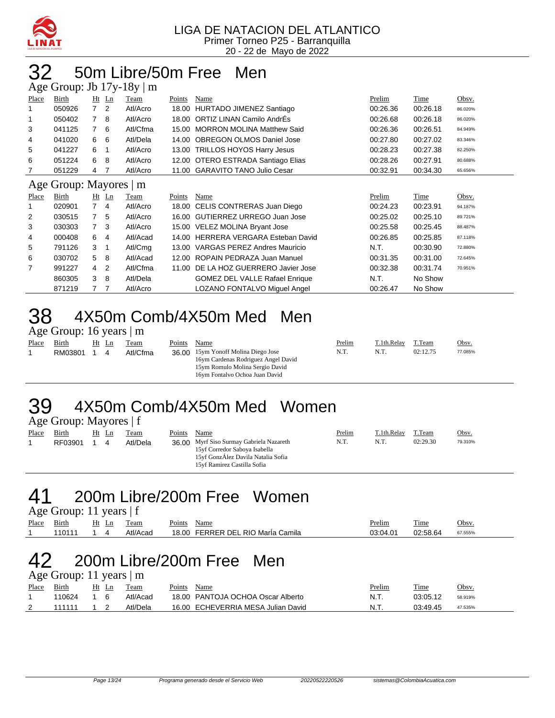

## 32 50m Libre/50m Free Men

|              |                        |                |         | Age Group: Jb $17y-18y \mid m$ |        |                                       |          |          |         |
|--------------|------------------------|----------------|---------|--------------------------------|--------|---------------------------------------|----------|----------|---------|
| Place        | Birth                  |                | $Ht$ Ln | Team                           | Points | Name                                  | Prelim   | Time     | Obsv.   |
|              | 050926                 | $\overline{7}$ | 2       | Atl/Acro                       | 18.00  | HURTADO JIMENEZ Santiago              | 00:26.36 | 00:26.18 | 86.020% |
|              | 050402                 | 7              | 8       | Atl/Acro                       | 18.00  | <b>ORTIZ LINAN Camilo AndrEs</b>      | 00:26.68 | 00:26.18 | 86.020% |
| 3            | 041125                 | $\overline{7}$ | 6       | Atl/Cfma                       | 15.00  | <b>MORRON MOLINA Matthew Said</b>     | 00:26.36 | 00:26.51 | 84.949% |
| 4            | 041020                 | 6              | 6       | Atl/Dela                       | 14.00  | <b>OBREGON OLMOS Daniel Jose</b>      | 00:27.80 | 00:27.02 | 83.346% |
| 5            | 041227                 | 6              | -1      | Atl/Acro                       | 13.00  | <b>TRILLOS HOYOS Harry Jesus</b>      | 00:28.23 | 00:27.38 | 82.250% |
| 6            | 051224                 | 6              | 8       | Atl/Acro                       | 12.00  | OTERO ESTRADA Santiago Elias          | 00:28.26 | 00:27.91 | 80.688% |
|              | 051229                 | 4              | 7       | Atl/Acro                       |        | 11.00 GARAVITO TANO Julio Cesar       | 00:32.91 | 00:34.30 | 65.656% |
|              | Age Group: Mayores   m |                |         |                                |        |                                       |          |          |         |
|              |                        |                |         |                                |        |                                       |          |          |         |
| <b>Place</b> | Birth                  |                | $Ht$ Ln | Team                           | Points | Name                                  | Prelim   | Time     | Obsv.   |
|              | 020901                 | $\overline{7}$ | 4       | Atl/Acro                       | 18.00  | CELIS CONTRERAS Juan Diego            | 00:24.23 | 00:23.91 | 94.187% |
| 2            | 030515                 | 7              | 5       | Atl/Acro                       |        | 16.00 GUTIERREZ URREGO Juan Jose      | 00:25.02 | 00:25.10 | 89.721% |
| 3            | 030303                 | $\overline{7}$ | 3       | Atl/Acro                       |        | 15.00 VELEZ MOLINA Bryant Jose        | 00:25.58 | 00:25.45 | 88.487% |
| 4            | 000408                 | 6              | 4       | Atl/Acad                       | 14.00  | <b>HERRERA VERGARA Esteban David</b>  | 00:26.85 | 00:25.85 | 87.118% |
| 5            | 791126                 | 3              | 1       | Atl/Cmg                        | 13.00  | <b>VARGAS PEREZ Andres Mauricio</b>   | N.T.     | 00:30.90 | 72.880% |
| 6            | 030702                 | 5              | 8       | Atl/Acad                       | 12.00  | ROPAIN PEDRAZA Juan Manuel            | 00:31.35 | 00:31.00 | 72.645% |
| 7            | 991227                 | 4              | 2       | Atl/Cfma                       | 11.00  | DE LA HOZ GUERRERO Javier Jose        | 00:32.38 | 00:31.74 | 70.951% |
|              | 860305                 | 3              | 8       | Atl/Dela                       |        | <b>GOMEZ DEL VALLE Rafael Enrique</b> | N.T.     | No Show  |         |

#### 38 4X50m Comb/4X50m Med Men Age Group: 16 years | m

| Place | Birth   | Ht | Ln | Team     | Points | Name                                                                                                                                            | Prelim | T.1th.Relay | T.Team   | Obsv.   |
|-------|---------|----|----|----------|--------|-------------------------------------------------------------------------------------------------------------------------------------------------|--------|-------------|----------|---------|
|       | RM03801 |    | 4  | Atl/Cfma |        | 36.00 15ym Yonoff Molina Diego Jose<br>16ym Cardenas Rodriguez Angel David<br>15ym Romulo Molina Sergio David<br>16ym Fontalvo Ochoa Juan David | N.T.   | N.T.        | 02:12.75 | 77.085% |

#### 39 4X50m Comb/4X50m Med Women Age Group: Mayores | f

|       | $\frac{1}{2}$ $\frac{1}{2}$ $\frac{1}{2}$ $\frac{1}{2}$ $\frac{1}{2}$ $\frac{1}{2}$ $\frac{1}{2}$ $\frac{1}{2}$ $\frac{1}{2}$ $\frac{1}{2}$ $\frac{1}{2}$ $\frac{1}{2}$ $\frac{1}{2}$ $\frac{1}{2}$ $\frac{1}{2}$ $\frac{1}{2}$ $\frac{1}{2}$ $\frac{1}{2}$ $\frac{1}{2}$ $\frac{1}{2}$ $\frac{1}{2}$ $\frac{1}{2}$ |       |             |        |                                                                                                                                                |        |             |          |              |
|-------|---------------------------------------------------------------------------------------------------------------------------------------------------------------------------------------------------------------------------------------------------------------------------------------------------------------------|-------|-------------|--------|------------------------------------------------------------------------------------------------------------------------------------------------|--------|-------------|----------|--------------|
| Place | Birth                                                                                                                                                                                                                                                                                                               | Ht Ln | <b>Team</b> | Points | Name                                                                                                                                           | Prelim | T.1th.Relay | T.Team   | <u>Obsv.</u> |
|       | RF03901                                                                                                                                                                                                                                                                                                             |       | Atl/Dela    |        | 36.00 Myrf Siso Surmay Gabriela Nazareth<br>15yf Corredor Saboya Isabella<br>15yf GonzÁlez Davila Natalia Sofia<br>15yf Ramirez Castilla Sofia | N.T.   | N.T.        | 02:29.30 | 79.310%      |

#### 41 200m Libre/200m Free Women  $\epsilon$

| $\text{Age}$ Oroup. 11 years $\vert 1 \vert$ |            |            |          |                                   |          |          |         |  |  |  |  |
|----------------------------------------------|------------|------------|----------|-----------------------------------|----------|----------|---------|--|--|--|--|
| Place Birth                                  |            | Ht Ln Team |          | Points<br>Name                    | Prelim   | Time     | Obsv.   |  |  |  |  |
|                                              | 110111 1 4 |            | Atl/Acad | 18.00 FERRER DEL RIO MarÍa Camila | 03:04.01 | 02:58.64 | 67.555% |  |  |  |  |

### 42 200m Libre/200m Free Men

#### Age Group: 11 years | m

| Place | Birth  | Ht Ln | Team     | Points<br>Name                     | <u>Prelim</u> | Time     | Obsv.   |
|-------|--------|-------|----------|------------------------------------|---------------|----------|---------|
|       | 110624 |       | Atl/Acad | 18.00 PANTOJA OCHOA Oscar Alberto  | N.T.          | 03:05.12 | 58.919% |
|       | 111111 |       | Atl/Dela | 16.00 ECHEVERRIA MESA Julian David | N.T.          | 03:49.45 | 47.535% |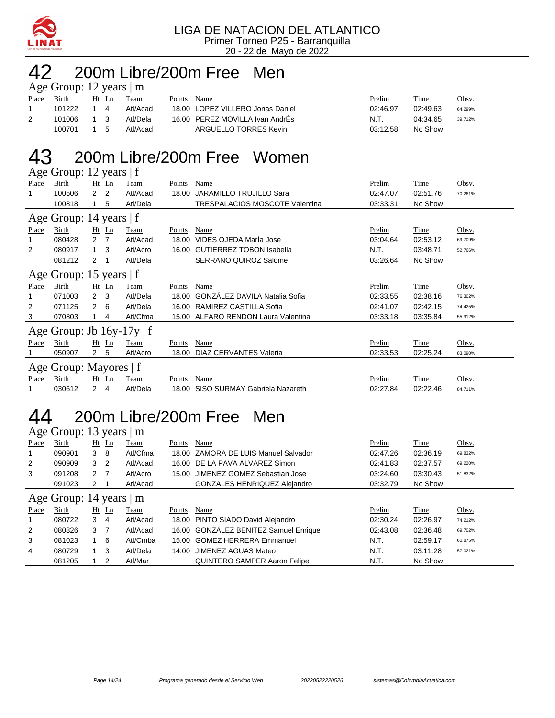

# 42 200m Libre/200m Free Men

|       | Age Group: 12 years $ m $ |       |    |          |        |                                  |          |          |         |  |  |  |
|-------|---------------------------|-------|----|----------|--------|----------------------------------|----------|----------|---------|--|--|--|
| Place | Birth                     | Ht Ln |    | Team     | Points | Name                             | Prelim   | Time     | Obsv.   |  |  |  |
|       | 101222                    | 14    |    | Atl/Acad |        | 18.00 LOPEZ VILLERO Jonas Daniel | 02:46.97 | 02:49.63 | 64.299% |  |  |  |
|       | 101006                    | 1 3   |    | Atl/Dela |        | 16.00 PEREZ MOVILLA Ivan AndrEs  | N.T.     | 04:34.65 | 39.712% |  |  |  |
|       | 100701                    |       | -5 | Atl/Acad |        | ARGUELLO TORRES Kevin            | 03:12.58 | No Show  |         |  |  |  |

## 43 200m Libre/200m Free Women

|                         | Age Group: 12 years   f        |                |                |          |        |                                       |          |             |         |  |  |
|-------------------------|--------------------------------|----------------|----------------|----------|--------|---------------------------------------|----------|-------------|---------|--|--|
| Place                   | Birth                          |                | $Ht$ Ln        | Team     | Points | Name                                  | Prelim   | Time        | Obsv.   |  |  |
| 1                       | 100506                         | $\overline{2}$ | $\overline{2}$ | Atl/Acad | 18.00  | <b>JARAMILLO TRUJILLO Sara</b>        | 02:47.07 | 02:51.76    | 70.261% |  |  |
|                         | 100818                         |                | 5              | Atl/Dela |        | <b>TRESPALACIOS MOSCOTE Valentina</b> | 03:33.31 | No Show     |         |  |  |
| Age Group: 14 years   f |                                |                |                |          |        |                                       |          |             |         |  |  |
| Place                   | Birth                          | Ht             | Ln             | Team     | Points | Name                                  | Prelim   | Time        | Obsv.   |  |  |
| 1                       | 080428                         | $\overline{2}$ | 7              | Atl/Acad | 18.00  | VIDES OJEDA MarÍa Jose                | 03:04.64 | 02:53.12    | 69.709% |  |  |
| 2                       | 080917                         |                | 3              | Atl/Acro | 16.00  | <b>GUTIERREZ TOBON Isabella</b>       | N.T.     | 03:48.71    | 52.766% |  |  |
|                         | 081212                         | 2              |                | Atl/Dela |        | <b>SERRANO QUIROZ Salome</b>          | 03:26.64 | No Show     |         |  |  |
|                         | Age Group: 15 years $ f $      |                |                |          |        |                                       |          |             |         |  |  |
| Place                   | Birth                          |                | $Ht$ Ln        | Team     | Points | Name                                  | Prelim   | Time        | Obsv.   |  |  |
| 1                       | 071003                         | $2 \quad 3$    |                | Atl/Dela | 18.00  | GONZÁLEZ DAVILA Natalia Sofia         | 02:33.55 | 02:38.16    | 76.302% |  |  |
| 2                       | 071125                         | $\overline{2}$ | 6              | Atl/Dela | 16.00  | RAMIREZ CASTILLA Sofia                | 02:41.07 | 02:42.15    | 74.425% |  |  |
| 3                       | 070803                         |                | 4              | Atl/Cfma |        | 15.00 ALFARO RENDON Laura Valentina   | 03:33.18 | 03:35.84    | 55.912% |  |  |
|                         | Age Group: Jb $16y-17y \mid f$ |                |                |          |        |                                       |          |             |         |  |  |
| Place                   | <b>Birth</b>                   | Ht             | Ln             | Team     | Points | Name                                  | Prelim   | <b>Time</b> | Obsv.   |  |  |
|                         | 050907                         | $\mathbf{2}$   | -5             | Atl/Acro | 18.00  | <b>DIAZ CERVANTES Valeria</b>         | 02:33.53 | 02:25.24    | 83.090% |  |  |
|                         | Age Group: Mayores   f         |                |                |          |        |                                       |          |             |         |  |  |
| Place                   | Birth                          | Ht             | $\mathbf{L}$ n | Team     | Points | Name                                  | Prelim   | Time        | Obsv.   |  |  |
|                         | 030612                         | 2              | 4              | Atl/Dela | 18.00  | SISO SURMAY Gabriela Nazareth         | 02:27.84 | 02:22.46    | 84.711% |  |  |

#### 44 200m Libre/200m Free Men Age Group: 13 years | m

|       | 2.28                    |     |                | ---      |        |                                       |          |          |         |  |
|-------|-------------------------|-----|----------------|----------|--------|---------------------------------------|----------|----------|---------|--|
| Place | Birth                   | Ht  | $\mathbf{L}$ n | Team     | Points | Name                                  | Prelim   | Time     | Obsv.   |  |
| 1     | 090901                  | 3   | -8             | Atl/Cfma |        | 18.00 ZAMORA DE LUIS Manuel Salvador  | 02:47.26 | 02:36.19 | 69.832% |  |
| 2     | 090909                  | 3   | -2             | Atl/Acad |        | 16.00 DE LA PAVA ALVAREZ Simon        | 02:41.83 | 02:37.57 | 69.220% |  |
| 3     | 091208                  | 2 7 |                | Atl/Acro |        | 15.00 JIMENEZ GOMEZ Sebastian Jose    | 03:24.60 | 03:30.43 | 51.832% |  |
|       | 091023                  | 2   |                | Atl/Acad |        | <b>GONZALES HENRIQUEZ Alejandro</b>   | 03:32.79 | No Show  |         |  |
|       | Age Group: 14 years   m |     |                |          |        |                                       |          |          |         |  |
| Place | Birth                   |     | $Ht$ Ln        | Team     | Points | Name                                  | Prelim   | Time     | Obsv.   |  |
| 1     | 080722                  | 3   | 4              | Atl/Acad |        | 18.00 PINTO SIADO David Alejandro     | 02:30.24 | 02:26.97 | 74.212% |  |
| 2     | 080826                  | 3   | $\overline{7}$ | Atl/Acad |        | 16.00 GONZÁLEZ BENITEZ Samuel Enrique | 02:43.08 | 02:36.48 | 69.702% |  |
| 3     | 081023                  |     | -6             | Atl/Cmba |        | 15.00 GOMEZ HERRERA Emmanuel          | N.T.     | 02:59.17 | 60.875% |  |
| 4     | 080729                  |     | -3             | Atl/Dela |        | 14.00 JIMENEZ AGUAS Mateo             | N.T.     | 03:11.28 | 57.021% |  |
|       | 081205                  |     | 2              | Atl/Mar  |        | <b>QUINTERO SAMPER Aaron Felipe</b>   | N.T.     | No Show  |         |  |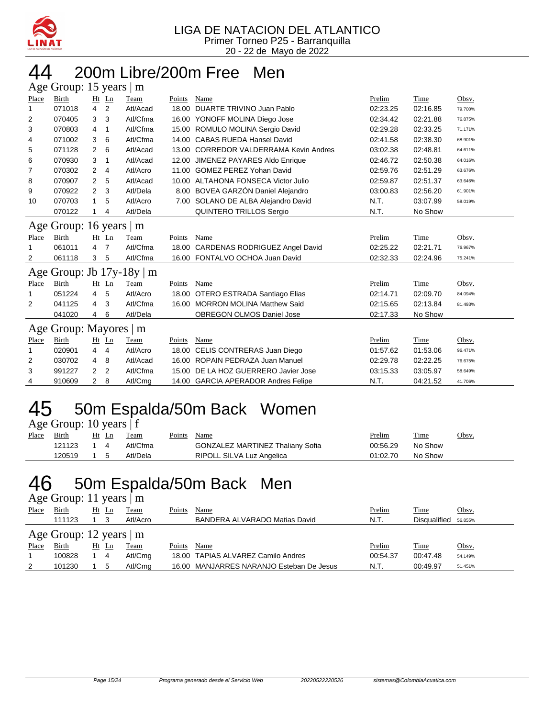

# 44 200m Libre/200m Free Men

|       | Age Group: 15 years  <br>m |    |                |          |        |                                         |          |             |         |  |  |
|-------|----------------------------|----|----------------|----------|--------|-----------------------------------------|----------|-------------|---------|--|--|
| Place | Birth                      |    | $Ht$ Ln        | Team     | Points | Name                                    | Prelim   | Time        | Obsv.   |  |  |
| 1     | 071018                     | 4  | 2              | Atl/Acad | 18.00  | DUARTE TRIVINO Juan Pablo               | 02:23.25 | 02:16.85    | 79.700% |  |  |
| 2     | 070405                     | 3  | 3              | Atl/Cfma |        | 16.00 YONOFF MOLINA Diego Jose          | 02:34.42 | 02:21.88    | 76.875% |  |  |
| 3     | 070803                     | 4  | 1              | Atl/Cfma |        | 15.00 ROMULO MOLINA Sergio David        | 02:29.28 | 02:33.25    | 71.171% |  |  |
| 4     | 071002                     | 3  | 6              | Atl/Cfma |        | 14.00 CABAS RUEDA Hansel David          | 02:41.58 | 02:38.30    | 68.901% |  |  |
| 5     | 071128                     | 2  | 6              | Atl/Acad | 13.00  | <b>CORREDOR VALDERRAMA Kevin Andres</b> | 03:02.38 | 02:48.81    | 64.611% |  |  |
| 6     | 070930                     | 3  | 1              | Atl/Acad | 12.00  | JIMENEZ PAYARES Aldo Enrique            | 02:46.72 | 02:50.38    | 64.016% |  |  |
| 7     | 070302                     | 2  | 4              | Atl/Acro | 11.00  | <b>GOMEZ PEREZ Yohan David</b>          | 02:59.76 | 02:51.29    | 63.676% |  |  |
| 8     | 070907                     | 2  | 5              | Atl/Acad |        | 10.00 ALTAHONA FONSECA Victor Julio     | 02:59.87 | 02:51.37    | 63.646% |  |  |
| 9     | 070922                     | 2  | 3              | Atl/Dela |        | 8.00 BOVEA GARZÓN Daniel Alejandro      | 03:00.83 | 02:56.20    | 61.901% |  |  |
| 10    | 070703                     | 1  | 5              | Atl/Acro |        | 7.00 SOLANO DE ALBA Alejandro David     | N.T.     | 03:07.99    | 58.019% |  |  |
|       | 070122                     |    | 4              | Atl/Dela |        | QUINTERO TRILLOS Sergio                 | N.T.     | No Show     |         |  |  |
|       | Age Group: 16 years        |    |                | m        |        |                                         |          |             |         |  |  |
| Place | <b>Birth</b>               | Ht | Ln             | Team     | Points | <b>Name</b>                             | Prelim   | <b>Time</b> | Obsv.   |  |  |
| 1     | 061011                     | 4  | $\overline{7}$ | Atl/Cfma | 18.00  | <b>CARDENAS RODRIGUEZ Angel David</b>   | 02:25.22 | 02:21.71    | 76.967% |  |  |
| 2     | 061118                     | 3  | 5              | Atl/Cfma |        | 16.00 FONTALVO OCHOA Juan David         | 02:32.33 | 02:24.96    | 75.241% |  |  |
|       | Age Group: Jb 17y-18y      |    |                | m        |        |                                         |          |             |         |  |  |
| Place | Birth                      |    | Ht Ln          | Team     | Points | Name                                    | Prelim   | Time        | Obsv.   |  |  |
| 1     | 051224                     | 4  | 5              | Atl/Acro | 18.00  | OTERO ESTRADA Santiago Elias            | 02:14.71 | 02:09.70    | 84.094% |  |  |
| 2     | 041125                     | 4  | 3              | Atl/Cfma |        | 16.00 MORRON MOLINA Matthew Said        | 02:15.65 | 02:13.84    | 81.493% |  |  |
|       | 041020                     | 4  | 6              | Atl/Dela |        | <b>OBREGON OLMOS Daniel Jose</b>        | 02:17.33 | No Show     |         |  |  |
|       | Age Group: Mayores   m     |    |                |          |        |                                         |          |             |         |  |  |
| Place | Birth                      |    | Ht Ln          | Team     | Points | Name                                    | Prelim   | Time        | Obsv.   |  |  |
| 1     | 020901                     | 4  | 4              | Atl/Acro | 18.00  | CELIS CONTRERAS Juan Diego              | 01:57.62 | 01:53.06    | 96.471% |  |  |
| 2     | 030702                     | 4  | 8              | Atl/Acad |        | 16.00 ROPAIN PEDRAZA Juan Manuel        | 02:29.78 | 02:22.25    | 76.675% |  |  |
| 3     | 991227                     | 2  | 2              | Atl/Cfma |        | 15.00 DE LA HOZ GUERRERO Javier Jose    | 03:15.33 | 03:05.97    | 58.649% |  |  |
| 4     | 910609                     | 2  | 8              | Atl/Cmg  |        | 14.00 GARCIA APERADOR Andres Felipe     | N.T.     | 04:21.52    | 41.706% |  |  |

## 45 50m Espalda/50m Back Women

| Age Group: 10 years   f |  |  |
|-------------------------|--|--|
|-------------------------|--|--|

| Place | <b>Birth</b> | $Ht$ Ln         | Team     | Points Name |                                         | <u>Prelim</u> | <b>Time</b> | Obsv. |
|-------|--------------|-----------------|----------|-------------|-----------------------------------------|---------------|-------------|-------|
|       | 121123 1 4   |                 | Atl/Cfma |             | <b>GONZALEZ MARTINEZ Thaliany Sofia</b> | 00:56.29      | No Show     |       |
|       | 120519       | $1\overline{5}$ | Atl/Dela |             | RIPOLL SILVA Luz Angelica               | 01:02.70      | No Show     |       |

### 46 50m Espalda/50m Back Men

| Age Group: 11 years   m |  |  |  |
|-------------------------|--|--|--|
|-------------------------|--|--|--|

| Place | Birth                         |    | Ht Ln | Team        | Points | Name                                     | Prelim   | <b>Time</b>  | Obsv.   |
|-------|-------------------------------|----|-------|-------------|--------|------------------------------------------|----------|--------------|---------|
|       | 111123                        |    |       | Atl/Acro    |        | BANDERA ALVARADO Matias David            | N.T.     | Disqualified | 56.855% |
|       | Age Group: 12 years $\vert$ m |    |       |             |        |                                          |          |              |         |
| Place | Birth                         | Ht | Ln    | <b>Team</b> | Points | Name                                     | Prelim   | <b>Time</b>  | Obsv.   |
|       | 100828                        |    | 4     | Atl/Cmg     |        | 18.00 TAPIAS ALVAREZ Camilo Andres       | 00:54.37 | 00:47.48     | 54.149% |
| 2     | 101230                        |    |       | Atl/Cmg     |        | 16.00 MANJARRES NARANJO Esteban De Jesus | N.T.     | 00:49.97     | 51.451% |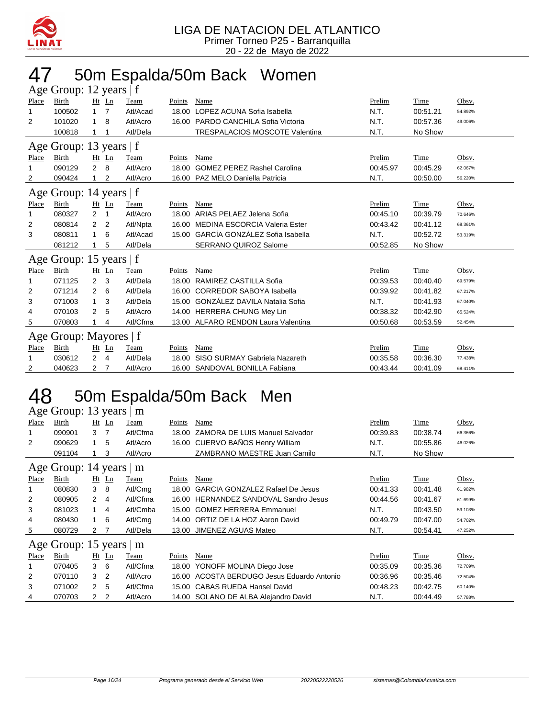

### 47 50m Espalda/50m Back Women

| Age Group: 12 years   f |                                                                       |                |         |             |        |                                       |          |             |         |  |  |  |  |  |
|-------------------------|-----------------------------------------------------------------------|----------------|---------|-------------|--------|---------------------------------------|----------|-------------|---------|--|--|--|--|--|
| Place                   | <b>Birth</b>                                                          |                | Ht Ln   | Team        | Points | Name                                  | Prelim   | Time        | Obsv.   |  |  |  |  |  |
| 1                       | 100502                                                                | 1              | 7       | Atl/Acad    | 18.00  | LOPEZ ACUNA Sofia Isabella            | N.T.     | 00:51.21    | 54.892% |  |  |  |  |  |
| 2                       | 101020                                                                | 1              | 8       | Atl/Acro    | 16.00  | PARDO CANCHILA Sofia Victoria         | N.T.     | 00:57.36    | 49.006% |  |  |  |  |  |
|                         | 100818                                                                |                |         | Atl/Dela    |        | <b>TRESPALACIOS MOSCOTE Valentina</b> | N.T.     | No Show     |         |  |  |  |  |  |
|                         | Age Group: 13 years   f                                               |                |         |             |        |                                       |          |             |         |  |  |  |  |  |
| Place                   | Prelim<br>Birth<br>$Ht$ Ln<br>Name<br>Time<br>Obsv.<br>Team<br>Points |                |         |             |        |                                       |          |             |         |  |  |  |  |  |
| 1                       | 090129                                                                | $\overline{2}$ | 8       | Atl/Acro    | 18.00  | <b>GOMEZ PEREZ Rashel Carolina</b>    | 00:45.97 | 00:45.29    | 62.067% |  |  |  |  |  |
| 2                       | 090424                                                                |                | 2       | Atl/Acro    |        | 16.00 PAZ MELO Daniella Patricia      | N.T.     | 00:50.00    | 56.220% |  |  |  |  |  |
|                         | Age Group: 14 years $ f $                                             |                |         |             |        |                                       |          |             |         |  |  |  |  |  |
| Place                   | Birth                                                                 |                | $Ht$ Ln | Team        | Points | Name                                  | Prelim   | Time        | Obsv.   |  |  |  |  |  |
| 1                       | 080327                                                                | 2              | 1       | Atl/Acro    | 18.00  | ARIAS PELAEZ Jelena Sofia             | 00:45.10 | 00:39.79    | 70.646% |  |  |  |  |  |
| 2                       | 080814                                                                | $\overline{2}$ | 2       | Atl/Npta    | 16.00  | MEDINA ESCORCIA Valeria Ester         | 00:43.42 | 00:41.12    | 68.361% |  |  |  |  |  |
| 3                       | 080811                                                                | 1              | 6       | Atl/Acad    |        | 15.00 GARCÍA GONZÁLEZ Sofia Isabella  | N.T.     | 00:52.72    | 53.319% |  |  |  |  |  |
|                         | 081212                                                                |                | 5       | Atl/Dela    |        | <b>SERRANO QUIROZ Salome</b>          | 00:52.85 | No Show     |         |  |  |  |  |  |
|                         | Age Group: 15 years   f                                               |                |         |             |        |                                       |          |             |         |  |  |  |  |  |
| Place                   | Birth                                                                 | Ht             | Ln      | Team        | Points | Name                                  | Prelim   | Time        | Obsv.   |  |  |  |  |  |
| 1                       | 071125                                                                | 2              | 3       | Atl/Dela    | 18.00  | RAMIREZ CASTILLA Sofia                | 00:39.53 | 00:40.40    | 69.579% |  |  |  |  |  |
| 2                       | 071214                                                                | 2              | 6       | Atl/Dela    | 16.00  | <b>CORREDOR SABOYA Isabella</b>       | 00:39.92 | 00:41.82    | 67.217% |  |  |  |  |  |
| 3                       | 071003                                                                | $\mathbf{1}$   | 3       | Atl/Dela    |        | 15.00 GONZÁLEZ DAVILA Natalia Sofia   | N.T.     | 00:41.93    | 67.040% |  |  |  |  |  |
| 4                       | 070103                                                                | 2              | 5       | Atl/Acro    |        | 14.00 HERRERA CHUNG Mey Lin           | 00:38.32 | 00:42.90    | 65.524% |  |  |  |  |  |
| 5                       | 070803                                                                |                | 4       | Atl/Cfma    |        | 13.00 ALFARO RENDON Laura Valentina   | 00:50.68 | 00:53.59    | 52.454% |  |  |  |  |  |
|                         | Age Group: Mayores   f                                                |                |         |             |        |                                       |          |             |         |  |  |  |  |  |
| Place                   | <b>Birth</b>                                                          | Ht             | Ln      | <b>Team</b> | Points | Name                                  | Prelim   | <u>Time</u> | Obsv.   |  |  |  |  |  |
| 1                       | 030612                                                                | $\overline{2}$ | 4       | Atl/Dela    | 18.00  | SISO SURMAY Gabriela Nazareth         | 00:35.58 | 00:36.30    | 77.438% |  |  |  |  |  |
| 2                       | 040623                                                                | 2              | 7       | Atl/Acro    | 16.00  | SANDOVAL BONILLA Fabiana              | 00:43.44 | 00:41.09    | 68.411% |  |  |  |  |  |

### 48 50m Espalda/50m Back Men

| ''    |                               |               |                |          |        |                                        |          |          |         |
|-------|-------------------------------|---------------|----------------|----------|--------|----------------------------------------|----------|----------|---------|
|       | Age Group: 13 years           |               |                | ∣m       |        |                                        |          |          |         |
| Place | Birth                         | Ht            | $\mathbf{L}$ n | Team     | Points | Name                                   | Prelim   | Time     | Obsv.   |
|       | 090901                        | 3             | 7              | Atl/Cfma | 18.00  | ZAMORA DE LUIS Manuel Salvador         | 00:39.83 | 00:38.74 | 66.366% |
| 2     | 090629                        | 1             | 5              | Atl/Acro |        | 16.00 CUERVO BAÑOS Henry William       | N.T.     | 00:55.86 | 46.026% |
|       | 091104                        |               | 3              | Atl/Acro |        | ZAMBRANO MAESTRE Juan Camilo           | N.T.     | No Show  |         |
|       | Age Group: 14 years $ m$      |               |                |          |        |                                        |          |          |         |
| Place | Birth                         | Ht            | $\mathbf{L}$ n | Team     | Points | Name                                   | Prelim   | Time     | Obsv.   |
| 1     | 080830                        | 3             | 8              | Atl/Cmg  | 18.00  | <b>GARCIA GONZALEZ Rafael De Jesus</b> | 00:41.33 | 00:41.48 | 61.982% |
| 2     | 080905                        | $\mathcal{P}$ | 4              | Atl/Cfma |        | 16.00 HERNANDEZ SANDOVAL Sandro Jesus  | 00:44.56 | 00:41.67 | 61.699% |
| 3     | 081023                        | $\mathbf{1}$  | 4              | Atl/Cmba |        | 15.00 GOMEZ HERRERA Emmanuel           | N.T.     | 00:43.50 | 59.103% |
| 4     | 080430                        | 1             | 6              | Atl/Cmg  |        | 14.00 ORTIZ DE LA HOZ Aaron David      | 00:49.79 | 00:47.00 | 54.702% |
| 5     | 080729                        | 2             |                | Atl/Dela |        | 13.00 JIMENEZ AGUAS Mateo              | N.T.     | 00:54.41 | 47.252% |
|       | Age Group: 15 years $\vert$ m |               |                |          |        |                                        |          |          |         |
| Place | Birth                         | Ht            | $\mathbf{L}$ n | Team     | Points | Name                                   | Prelim   | Time     | Obsv.   |

|       | $1.5$ Oroup. 19 years $\mu$ m |              |       |             |        |                                            |          |          |              |
|-------|-------------------------------|--------------|-------|-------------|--------|--------------------------------------------|----------|----------|--------------|
| Place | Birth                         |              | Ht Ln | <b>Team</b> | Points | Name                                       | Prelim   | Time     | <u>Obsv.</u> |
|       | 070405                        | $\mathbf{3}$ | - 6   | Atl/Cfma    |        | 18.00 YONOFF MOLINA Diego Jose             | 00:35.09 | 00:35.36 | 72.709%      |
| 2     | 070110                        | -3           |       | Atl/Acro    |        | 16.00 ACOSTA BERDUGO Jesus Eduardo Antonio | 00:36.96 | 00:35.46 | 72.504%      |
| -3    | 071002                        | 2 5          |       | Atl/Cfma    |        | 15.00 CABAS RUEDA Hansel David             | 00:48.23 | 00:42.75 | 60.140%      |
| 4     | 070703                        |              |       | Atl/Acro    |        | 14.00 SOLANO DE ALBA Alejandro David       | N.T.     | 00:44.49 | 57.788%      |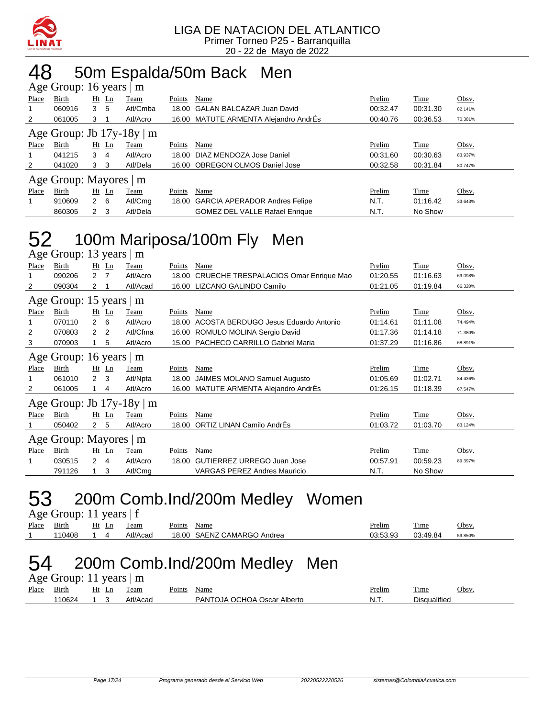

#### 48 50m Espalda/50m Back Men Age Group: 16 years | m

|       | $1.50$ S10ap. 10 $/$ cand $/$ m. |                |     |          |        |                                       |          |          |         |  |  |
|-------|----------------------------------|----------------|-----|----------|--------|---------------------------------------|----------|----------|---------|--|--|
| Place | Birth                            | $Ht$ Ln        |     | Team     | Points | Name                                  | Prelim   | Time     | Obsv.   |  |  |
|       | 060916                           | 3              | 5   | Atl/Cmba |        | 18.00 GALAN BALCAZAR Juan David       | 00:32.47 | 00:31.30 | 82.141% |  |  |
| 2     | 061005                           | 3              |     | Atl/Acro |        | 16.00 MATUTE ARMENTA Alejandro AndrÉs | 00:40.76 | 00:36.53 | 70.381% |  |  |
|       | Age Group: Jb $17y-18y \mid m$   |                |     |          |        |                                       |          |          |         |  |  |
| Place | Birth                            | $Ht$ Ln        |     | Team     | Points | Name                                  | Prelim   | Time     | Obsv.   |  |  |
|       | 041215                           | 3              | 4   | Atl/Acro |        | 18.00 DIAZ MENDOZA Jose Daniel        | 00:31.60 | 00:30.63 | 83.937% |  |  |
| 2     | 041020                           | 3 <sub>3</sub> |     | Atl/Dela |        | 16.00 OBREGON OLMOS Daniel Jose       | 00:32.58 | 00:31.84 | 80.747% |  |  |
|       | Age Group: Mayores               |                |     | m        |        |                                       |          |          |         |  |  |
| Place | Birth                            | Ht Ln          |     | Team     | Points | Name                                  | Prelim   | Time     | Obsv.   |  |  |
|       | 910609                           | $2\quad 6$     |     | Atl/Cmg  |        | 18.00 GARCIA APERADOR Andres Felipe   | N.T.     | 01:16.42 | 33.643% |  |  |
|       | 860305                           | 2              | - 3 | Atl/Dela |        | <b>GOMEZ DEL VALLE Rafael Enrique</b> | N.T.     | No Show  |         |  |  |

## 52 100m Mariposa/100m Fly Men

|              | Age Group: 13 years   m        |                |                |          |        |                                       |          |             |         |  |  |  |
|--------------|--------------------------------|----------------|----------------|----------|--------|---------------------------------------|----------|-------------|---------|--|--|--|
| <b>Place</b> | Birth                          |                | $Ht$ Ln        | Team     | Points | Name                                  | Prelim   | <b>Time</b> | Obsv.   |  |  |  |
| 1            | 090206                         | $\overline{2}$ | $\overline{7}$ | Atl/Acro | 18.00  | CRUECHE TRESPALACIOS Omar Enrique Mao | 01:20.55 | 01:16.63    | 69.098% |  |  |  |
| 2            | 090304                         | 2              |                | Atl/Acad | 16.00  | LIZCANO GALINDO Camilo                | 01:21.05 | 01:19.84    | 66.320% |  |  |  |
|              | Age Group: 15 years   m        |                |                |          |        |                                       |          |             |         |  |  |  |
| Place        | Birth                          |                | $Ht$ Ln        | Team     | Points | Name                                  | Prelim   | Time        | Obsv.   |  |  |  |
| 1            | 070110                         | $\mathbf{2}$   | 6              | Atl/Acro | 18.00  | ACOSTA BERDUGO Jesus Eduardo Antonio  | 01:14.61 | 01:11.08    | 74.494% |  |  |  |
| 2            | 070803                         | 2              | 2              | Atl/Cfma | 16.00  | ROMULO MOLINA Sergio David            | 01:17.36 | 01:14.18    | 71.380% |  |  |  |
| 3            | 070903                         |                | 5              | Atl/Acro | 15.00  | <b>PACHECO CARRILLO Gabriel Maria</b> | 01:37.29 | 01:16.86    | 68.891% |  |  |  |
|              | Age Group: 16 years   m        |                |                |          |        |                                       |          |             |         |  |  |  |
| Place        | Birth                          | Ht             | $\mathbf{L}$ n | Team     | Points | Name                                  | Prelim   | Time        | Obsv.   |  |  |  |
| 1            | 061010                         | $\overline{2}$ | 3              | Atl/Npta | 18.00  | JAIMES MOLANO Samuel Augusto          | 01:05.69 | 01:02.71    | 84.436% |  |  |  |
| 2            | 061005                         |                | 4              | Atl/Acro | 16.00  | MATUTE ARMENTA Alejandro AndrÉs       | 01:26.15 | 01:18.39    | 67.547% |  |  |  |
|              | Age Group: Jb $17y-18y \mid m$ |                |                |          |        |                                       |          |             |         |  |  |  |
| Place        | Birth                          |                | Ht Ln          | Team     | Points | Name                                  | Prelim   | Time        | Obsv.   |  |  |  |
|              | 050402                         | $\mathbf{2}$   | 5              | Atl/Acro | 18.00  | ORTIZ LINAN Camilo AndrÉs             | 01:03.72 | 01:03.70    | 83.124% |  |  |  |
|              | Age Group: Mayores   m         |                |                |          |        |                                       |          |             |         |  |  |  |
| Place        | Birth                          |                | Ht Ln          | Team     | Points | Name                                  | Prelim   | Time        | Obsv.   |  |  |  |
| 1            | 030515                         | 2              | 4              | Atl/Acro | 18.00  | GUTIERREZ URREGO Juan Jose            | 00:57.91 | 00:59.23    | 89.397% |  |  |  |
|              | 791126                         |                | 3              | Atl/Cmg  |        | <b>VARGAS PEREZ Andres Mauricio</b>   | N.T.     | No Show     |         |  |  |  |

### 53 200m Comb.Ind/200m Medley Women

|       | Age Group: 11 years $ f $ |       |          |             |                            |          |          |         |  |  |  |  |
|-------|---------------------------|-------|----------|-------------|----------------------------|----------|----------|---------|--|--|--|--|
| Place | Birth                     | Ht Ln | Team     | Points Name |                            | Prelim   | Time     | Obsv.   |  |  |  |  |
|       | 110408                    |       | Atl/Acad |             | 18.00 SAENZ CAMARGO Andrea | 03:53.93 | 03:49.84 | 59.850% |  |  |  |  |

#### 54 200m Comb.Ind/200m Medley Men Age Group: 11 years | m

|       | $\Delta$ gu Oroup. 11 yuars $\Delta$ m |  |       |          |                             |                             |        |              |       |  |  |  |  |
|-------|----------------------------------------|--|-------|----------|-----------------------------|-----------------------------|--------|--------------|-------|--|--|--|--|
| Place | Birth                                  |  | Ht Ln | Team     | $\mathbf{p}_{\text{oints}}$ | Name                        | Prelim | Time         | Obsv. |  |  |  |  |
|       | 110624                                 |  |       | Atl/Acad |                             | PANTOJA OCHOA Oscar Alberto | N.T.   | Disqualified |       |  |  |  |  |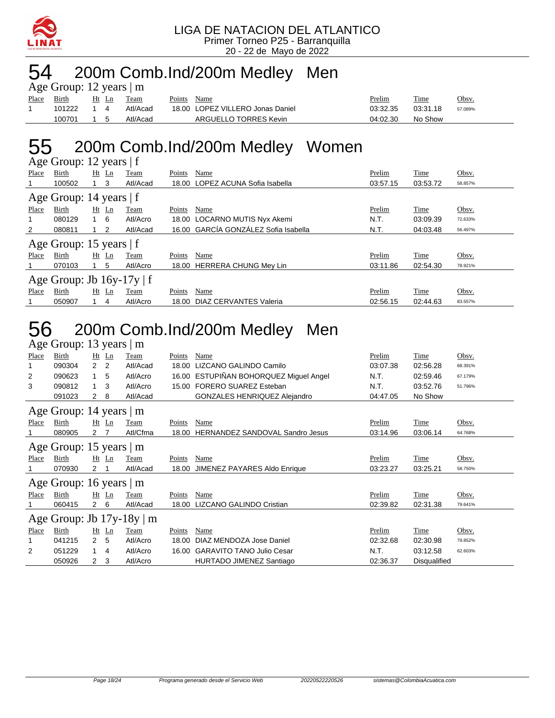

#### 54 200m Comb.Ind/200m Medley Men Age Group: 12 years | m

|       | $\text{Age}$ Oroup. 12 years $\text{m}$ |            |       |          |        |                                  |          |          |         |
|-------|-----------------------------------------|------------|-------|----------|--------|----------------------------------|----------|----------|---------|
| Place | Birth                                   |            | Ht Ln | Team     | Points | Name                             | Prelim   | Time     | Obsv.   |
|       | 101222 1 4                              |            |       | Atl/Acad |        | 18.00 LOPEZ VILLERO Jonas Daniel | 03:32.35 | 03:31.18 | 57.089% |
|       | 100701                                  | $1\quad 5$ |       | Atl/Acad |        | ARGUELLO TORRES Kevin            | 04:02.30 | No Show  |         |

## 55 200m Comb.Ind/200m Medley Women

|       | Age Group: 12 years $ f $      |            |    |          |        |                                      |          |             |         |  |  |  |  |
|-------|--------------------------------|------------|----|----------|--------|--------------------------------------|----------|-------------|---------|--|--|--|--|
| Place | Birth                          | Ht         | Ln | Team     | Points | Name                                 | Prelim   | <b>Time</b> | Obsv.   |  |  |  |  |
|       | 100502                         |            | 3  | Atl/Acad | 18.00  | LOPEZ ACUNA Sofia Isabella           | 03:57.15 | 03:53.72    | 58.857% |  |  |  |  |
|       | Age Group: 14 years   f        |            |    |          |        |                                      |          |             |         |  |  |  |  |
| Place | Birth                          | $Ht$ Ln    |    | Team     | Points | Name                                 | Prelim   | Time        | Obsv.   |  |  |  |  |
|       | 080129                         | $1\quad 6$ |    | Atl/Acro | 18.00  | LOCARNO MUTIS Nyx Akemi              | N.T.     | 03:09.39    | 72.633% |  |  |  |  |
| 2     | 080811                         | $1\quad 2$ |    | Atl/Acad |        | 16.00 GARCÍA GONZÁLEZ Sofia Isabella | N.T.     | 04:03.48    | 56.497% |  |  |  |  |
|       | Age Group: 15 years   f        |            |    |          |        |                                      |          |             |         |  |  |  |  |
| Place | Birth                          | Ht         | Ln | Team     | Points | Name                                 | Prelim   | <b>Time</b> | Obsv.   |  |  |  |  |
|       | 070103                         |            | 5  | Atl/Acro | 18.00  | <b>HERRERA CHUNG Mey Lin</b>         | 03:11.86 | 02:54.30    | 78.921% |  |  |  |  |
|       | Age Group: Jb $16y-17y \mid f$ |            |    |          |        |                                      |          |             |         |  |  |  |  |
| Place | Birth                          | $Ht$ Ln    |    | Team     | Points | Name                                 | Prelim   | Time        | Obsv.   |  |  |  |  |
|       | 050907                         |            | 4  | Atl/Acro | 18.00  | DIAZ CERVANTES Valeria               | 02:56.15 | 02:44.63    | 83.557% |  |  |  |  |

#### 56 200m Comb.Ind/200m Medley Men Age Group: 13 years | m

|              | $\Delta$ gc Oroup. To years $\Delta$ in |                |                |                                |               |                                        |          |              |         |
|--------------|-----------------------------------------|----------------|----------------|--------------------------------|---------------|----------------------------------------|----------|--------------|---------|
| Place        | Birth                                   |                | Ht Ln          | Team                           | Points        | Name                                   | Prelim   | Time         | Obsv.   |
|              | 090304                                  | $\overline{2}$ | $\overline{2}$ | Atl/Acad                       | 18.00         | LIZCANO GALINDO Camilo                 | 03:07.38 | 02:56.28     | 68.391% |
| 2            | 090623                                  |                | 5              | Atl/Acro                       |               | 16.00 ESTUPIÑAN BOHORQUEZ Miquel Angel | N.T.     | 02:59.46     | 67.179% |
| 3            | 090812                                  | $\mathbf{1}$   | 3              | Atl/Acro                       |               | 15.00 FORERO SUAREZ Esteban            | N.T.     | 03:52.76     | 51.796% |
|              | 091023                                  | $\mathbf{2}$   | 8              | Atl/Acad                       |               | GONZALES HENRIQUEZ Alejandro           | 04:47.05 | No Show      |         |
|              | Age Group: 14 years   m                 |                |                |                                |               |                                        |          |              |         |
| Place        | Birth                                   |                | $Ht$ Ln        | Team                           | <b>Points</b> | Name                                   | Prelim   | Time         | Obsv.   |
|              | 080905                                  | 2              |                | Atl/Cfma                       | 18.00         | <b>HERNANDEZ SANDOVAL Sandro Jesus</b> | 03:14.96 | 03:06.14     | 64.768% |
|              | Age Group: 15 years $ m$                |                |                |                                |               |                                        |          |              |         |
| Place        | Birth                                   |                | $Ht$ Ln        | Team                           | Points        | Name                                   | Prelim   | Time         | Obsv.   |
|              | 070930                                  | 2              |                | Atl/Acad                       | 18.00         | JIMENEZ PAYARES Aldo Enrique           | 03:23.27 | 03:25.21     | 58.750% |
|              | Age Group: 16 years $\vert$ m           |                |                |                                |               |                                        |          |              |         |
| <b>Place</b> | <b>Birth</b>                            |                | $Ht$ Ln        | Team                           | <b>Points</b> | Name                                   | Prelim   | <b>Time</b>  | Obsv.   |
|              | 060415                                  | $\mathbf{2}$   | 6              | Atl/Acad                       | 18.00         | <b>LIZCANO GALINDO Cristian</b>        | 02:39.82 | 02:31.38     | 79.641% |
|              |                                         |                |                | Age Group: Jb $17y-18y \mid m$ |               |                                        |          |              |         |
| Place        | Birth                                   |                | $Ht$ Ln        | Team                           | Points        | Name                                   | Prelim   | Time         | Obsv.   |
|              | 041215                                  | $\overline{2}$ | 5              | Atl/Acro                       | 18.00         | DIAZ MENDOZA Jose Daniel               | 02:32.68 | 02:30.98     | 79.852% |
| 2            | 051229                                  | 1              | 4              | Atl/Acro                       | 16.00         | <b>GARAVITO TANO Julio Cesar</b>       | N.T.     | 03:12.58     | 62.603% |
|              | 050926                                  | 2              | 3              | Atl/Acro                       |               | HURTADO JIMENEZ Santiago               | 02:36.37 | Disqualified |         |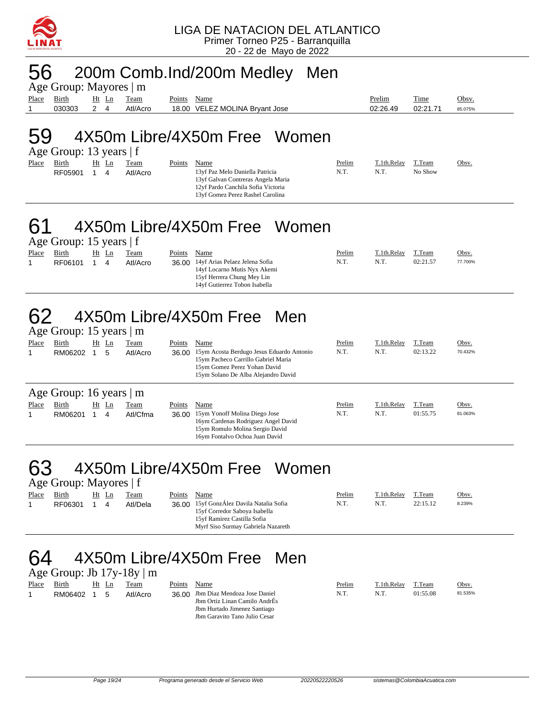

### 56 200m Comb.Ind/200m Medley Men

Age Group: Mayores | m Place Birth Ht Ln Team Points Name **Prelim** Prelim Time Obsv. 1 030303 2 4 Atl/Acro 18.00 VELEZ MOLINA Bryant Jose 02:26.49 02:21.71 85.075%

#### 59 4X50m Libre/4X50m Free Women Age Group: 13 years | f

| Place | Birth   | Ht Ln | Team     | Points | Name                                                                                                                                             | Prelim | T.1th.Relav | T.Team  | Obsv. |
|-------|---------|-------|----------|--------|--------------------------------------------------------------------------------------------------------------------------------------------------|--------|-------------|---------|-------|
|       | RF05901 | 4     | Atl/Acro |        | 13 of Paz Melo Daniella Patricia<br>13yf Galvan Contreras Angela Maria<br>12yf Pardo Canchila Sofia Victoria<br>13yf Gomez Perez Rashel Carolina | N.T.   | N.T.        | No Show |       |

#### 61 4X50m Libre/4X50m Free Women Age Group: 15 years | f

| Place | Birth   | Ht<br>Ln | Team     | Points | Name                                                                                                                                 | <b>Prelim</b> | T.1th.Relay | T.Team   | <u>Obsv.</u> |
|-------|---------|----------|----------|--------|--------------------------------------------------------------------------------------------------------------------------------------|---------------|-------------|----------|--------------|
|       | RF06101 | 4        | Atl/Acro |        | 36.00 14yf Arias Pelaez Jelena Sofia<br>14yf Locarno Mutis Nyx Akemi<br>15yf Herrera Chung Mey Lin<br>14 of Gutierrez Tobon Isabella | N.T.          | N.T.        | 02:21.57 | 77.700%      |

#### 4X50m Libre/4X50m Free Men Age Group: 15 years | m

|       | $1.45$ $0.04$ $0.10$ $0.04$ $0.04$ $0.04$ |    |       |          |        |                                                                                                                                                         |        |             |          |         |
|-------|-------------------------------------------|----|-------|----------|--------|---------------------------------------------------------------------------------------------------------------------------------------------------------|--------|-------------|----------|---------|
| Place | Birth                                     | Ht | Ln    | Team     | Points | Name                                                                                                                                                    | Prelim | T.1th.Relay | T.Team   | Obsv.   |
|       | RM06202                                   |    | 5     | Atl/Acro | 36.00  | 15ym Acosta Berdugo Jesus Eduardo Antonio<br>15ym Pacheco Carrillo Gabriel Maria<br>15ym Gomez Perez Yohan David<br>15ym Solano De Alba Alejandro David | N.T.   | N.T.        | 02:13.22 | 70.432% |
|       | Age Group: 16 years $\vert$ m             |    |       |          |        |                                                                                                                                                         |        |             |          |         |
| Place | Birth                                     |    | Ht Ln | Team     | Points | Name                                                                                                                                                    | Prelim | T.1th.Relay | T.Team   | Obsv.   |
|       | RM06201                                   |    | 4     | Atl/Cfma |        | 36.00 15ym Yonoff Molina Diego Jose<br>16ym Cardenas Rodriguez Angel David<br>15ym Romulo Molina Sergio David<br>16ym Fontalyo Ochoa Juan David         | N.T.   | N.T.        | 01:55.75 | 81.063% |

### 63 4X50m Libre/4X50m Free Women

Age Group: Mayores | f

| Place | Birth   | Ht | Ln | Team     | Points | Name                                                                                                                                           | Prelim | T.1th.Relay | T.Team   | Obsv.  |
|-------|---------|----|----|----------|--------|------------------------------------------------------------------------------------------------------------------------------------------------|--------|-------------|----------|--------|
|       | RF06301 |    | 4  | Atl/Dela |        | 36.00 15yf GonzÁlez Davila Natalia Sofia<br>15yf Corredor Saboya Isabella<br>15yf Ramirez Castilla Sofia<br>Myrf Siso Surmay Gabriela Nazareth | N.T.   | N.T.        | 22:15.12 | 8.239% |

#### 4X50m Libre/4X50m Free Men Age Group: Ib  $17v-18v \mid m$

|       |         |       | $1.18$ Oroup. $50.17$ , $10$ , $10.1$ |        |                                    |        |             |          |         |
|-------|---------|-------|---------------------------------------|--------|------------------------------------|--------|-------------|----------|---------|
| Place | Birth   | Ht Ln | Team                                  | Points | Name                               | Prelim | T.1th.Relay | T.Team   | Obsv.   |
|       | RM06402 | 5     | Atl/Acro                              |        | 36.00 Jbm Diaz Mendoza Jose Daniel | N.T.   | N.T.        | 01:55.08 | 81.535% |
|       |         |       |                                       |        | Jbm Ortiz Linan Camilo AndrÉs      |        |             |          |         |
|       |         |       |                                       |        | Jbm Hurtado Jimenez Santiago       |        |             |          |         |
|       |         |       |                                       |        | Jbm Garavito Tano Julio Cesar      |        |             |          |         |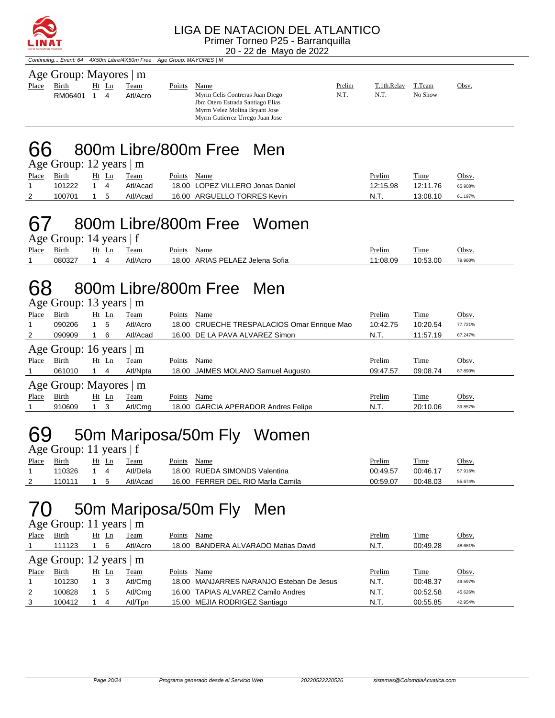

Continuing... Event: 64 4X50m Libre/4X50m Free Age Group: MAYORES | M

| Age Group: Mayores   m |         |  |       |          |        |                                                                                                      |        |             |         |       |  |  |
|------------------------|---------|--|-------|----------|--------|------------------------------------------------------------------------------------------------------|--------|-------------|---------|-------|--|--|
| Place                  | Birth   |  | Ht Ln | Team     | Points | Name                                                                                                 | Prelim | T.1th.Relay | T.Team  | Obsv. |  |  |
|                        | RM06401 |  |       | Atl/Acro |        | Myrm Celis Contreras Juan Diego<br>Jbm Otero Estrada Santiago Elias<br>Myrm Velez Molina Bryant Jose | N.T.   | N.T.        | No Show |       |  |  |

Myrm Gutierrez Urrego Juan Jose

66 800m Libre/800m Free Men Age Group: 12 years | m

|       | $-50$  |            |            |                                  |               |          |         |
|-------|--------|------------|------------|----------------------------------|---------------|----------|---------|
| Place | Birth  |            | Ht Ln Team | Points Name                      | <u>Prelim</u> | Time     | Obsv.   |
|       | 101222 | $1\quad 4$ | Atl/Acad   | 18.00 LOPEZ VILLERO Jonas Daniel | 12:15.98      | 12:11.76 | 65.908% |
| 2     | 100701 | 1 5        | Atl/Acad   | 16.00 ARGUELLO TORRES Kevin      | N.T.          | 13:08.10 | 61.197% |

### 67 800m Libre/800m Free Women

| Age Group: 14 years $ f $ |                        |  |  |          |             |                                 |               |          |         |  |  |  |
|---------------------------|------------------------|--|--|----------|-------------|---------------------------------|---------------|----------|---------|--|--|--|
|                           | Place Birth Ht Ln Team |  |  |          | Points Name |                                 | <u>Prelim</u> | Time     | Obsv.   |  |  |  |
|                           | 080327 1 4             |  |  | Atl/Acro |             | 18.00 ARIAS PELAEZ Jelena Sofia | 11:08.09      | 10:53.00 | 79.960% |  |  |  |

### 68 800m Libre/800m Free Men

Age Group: 13 years | m

|       | $2.47$ $2.34$ $1.42$ $1.44$   |                      |             |                                             |          |          |         |
|-------|-------------------------------|----------------------|-------------|---------------------------------------------|----------|----------|---------|
| Place | Birth                         | Ht<br>$\mathbf{L}$ n | Team        | Name<br>Points                              | Prelim   | Time     | Obsv.   |
| 1     | 090206                        | 5                    | Atl/Acro    | 18.00 CRUECHE TRESPALACIOS Omar Enrique Mao | 10:42.75 | 10:20.54 | 77.721% |
| 2     | 090909                        | -6                   | Atl/Acad    | 16.00 DE LA PAVA ALVAREZ Simon              | N.T.     | 11:57.19 | 67.247% |
|       | Age Group: 16 years $\vert$ m |                      |             |                                             |          |          |         |
| Place | Birth                         | $Ht$ Ln              | Team        | Name<br>Points                              | Prelim   | Time     | Obsv.   |
|       | 061010                        | 4                    | Atl/Npta    | 18.00 JAIMES MOLANO Samuel Augusto          | 09:47.57 | 09:08.74 | 87.890% |
|       | Age Group: Mayores   m        |                      |             |                                             |          |          |         |
| Place | Birth                         | $Ht$ Ln              | <b>Team</b> | Name<br>Points                              | Prelim   | Time     | Obsv.   |
|       | 910609                        | -3                   | Atl/Cmg     | 18.00 GARCIA APERADOR Andres Felipe         | N.T.     | 20:10.06 | 39.857% |

## 69 50m Mariposa/50m Fly Women

| Age Group: 11 years $ f $ |        |            |  |          |        |                                   |          |          |         |  |  |
|---------------------------|--------|------------|--|----------|--------|-----------------------------------|----------|----------|---------|--|--|
| <u>Place</u>              | Birth  | Ht Ln      |  | Team     | Points | Name                              | Prelim   | Time     | Obsv.   |  |  |
|                           | 110326 | 14         |  | Atl/Dela |        | 18.00 RUEDA SIMONDS Valentina     | 00:49.57 | 00:46.17 | 57.916% |  |  |
|                           | 110111 | $1\quad 5$ |  | Atl/Acad |        | 16.00 FERRER DEL RIO María Camila | 00:59.07 | 00:48.03 | 55.674% |  |  |

### 70 50m Mariposa/50m Fly Men

| Age Group: 11 years $\vert$ m |              |  |       |             |        |                                          |        |          |         |  |  |  |
|-------------------------------|--------------|--|-------|-------------|--------|------------------------------------------|--------|----------|---------|--|--|--|
| Place                         | <b>Birth</b> |  | Ht Ln | <b>Team</b> | Points | Name                                     | Prelim | Time     | Obsv.   |  |  |  |
|                               | 111123       |  | 6     | Atl/Acro    |        | 18.00 BANDERA ALVARADO Matias David      | N.T.   | 00:49.28 | 48.681% |  |  |  |
| Age Group: 12 years $\vert$ m |              |  |       |             |        |                                          |        |          |         |  |  |  |
| Place                         | Birth        |  | Ht Ln | Team        | Points | Name                                     | Prelim | Time     | Obsv.   |  |  |  |
|                               | 101230       |  | - 3   | Atl/Cmg     |        | 18.00 MANJARRES NARANJO Esteban De Jesus | N.T.   | 00:48.37 | 49.597% |  |  |  |
| 2                             | 100828       |  | 5     | Atl/Cmg     |        | 16.00 TAPIAS ALVAREZ Camilo Andres       | N.T.   | 00:52.58 | 45.626% |  |  |  |
| 3                             | 100412       |  | 4     | Atl/Tpn     |        | 15.00 MEJIA RODRIGEZ Santiago            | N.T.   | 00:55.85 | 42.954% |  |  |  |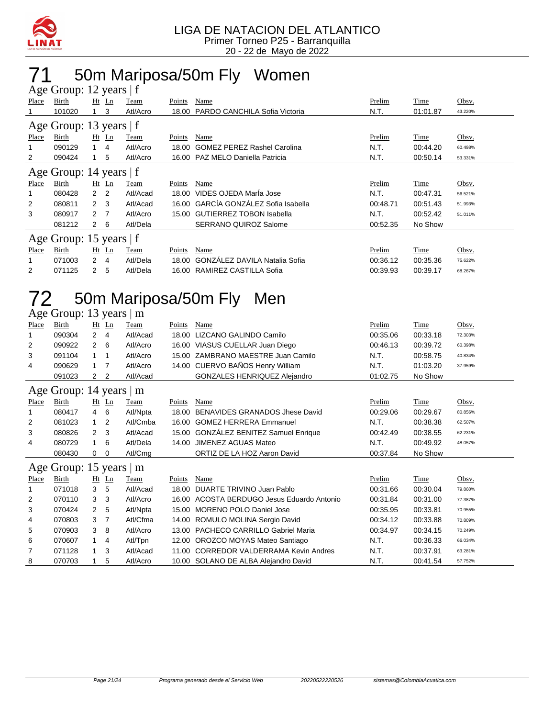

## 50m Mariposa/50m Fly Women

| Age Group: 12 years   f |                         |                |                |          |        |                                      |          |          |         |  |  |  |
|-------------------------|-------------------------|----------------|----------------|----------|--------|--------------------------------------|----------|----------|---------|--|--|--|
| Place                   | Birth                   |                | $Ht$ Ln        | Team     | Points | Name                                 | Prelim   | Time     | Obsv.   |  |  |  |
|                         | 101020                  |                | 3              | Atl/Acro | 18.00  | PARDO CANCHILA Sofia Victoria        | N.T.     | 01:01.87 | 43.220% |  |  |  |
|                         | Age Group: 13 years   f |                |                |          |        |                                      |          |          |         |  |  |  |
| Place                   | Birth                   |                | $Ht$ Ln        | Team     | Points | Name                                 | Prelim   | Time     | Obsv.   |  |  |  |
|                         | 090129                  |                | 4              | Atl/Acro | 18.00  | <b>GOMEZ PEREZ Rashel Carolina</b>   | N.T.     | 00:44.20 | 60.498% |  |  |  |
| 2                       | 090424                  |                | 5              | Atl/Acro | 16.00  | PAZ MELO Daniella Patricia           | N.T.     | 00:50.14 | 53.331% |  |  |  |
|                         | Age Group: 14 years   f |                |                |          |        |                                      |          |          |         |  |  |  |
| Place                   | Birth                   |                | $Ht$ Ln        | Team     | Points | Name                                 | Prelim   | Time     | Obsv.   |  |  |  |
|                         | 080428                  | 2              | 2              | Atl/Acad | 18.00  | VIDES OJEDA María Jose               | N.T.     | 00:47.31 | 56.521% |  |  |  |
| 2                       | 080811                  | $\mathcal{P}$  | - 3            | Atl/Acad | 16.00  | GARCÍA GONZÁLEZ Sofia Isabella       | 00:48.71 | 00:51.43 | 51.993% |  |  |  |
| 3                       | 080917                  | $\mathcal{P}$  | $\overline{7}$ | Atl/Acro | 15.00  | <b>GUTIERREZ TOBON Isabella</b>      | N.T.     | 00:52.42 | 51.011% |  |  |  |
|                         | 081212                  | $\mathcal{P}$  | 6              | Atl/Dela |        | <b>SERRANO QUIROZ Salome</b>         | 00:52.35 | No Show  |         |  |  |  |
|                         | Age Group: 15 years   f |                |                |          |        |                                      |          |          |         |  |  |  |
| Place                   | Birth                   |                | Ht Ln          | Team     | Points | Name                                 | Prelim   | Time     | Obsv.   |  |  |  |
|                         | 071003                  | $\overline{2}$ | 4              | Atl/Dela | 18.00  | <b>GONZALEZ DAVILA Natalia Sofia</b> | 00:36.12 | 00:35.36 | 75.622% |  |  |  |
| 2                       | 071125                  | 2              | 5              | Atl/Dela | 16.00  | RAMIREZ CASTILLA Sofia               | 00:39.93 | 00:39.17 | 68.267% |  |  |  |

## 50m Mariposa/50m Fly Men

| Age Group: 13 years<br>m |                     |                |             |          |        |                                         |          |          |         |  |  |  |
|--------------------------|---------------------|----------------|-------------|----------|--------|-----------------------------------------|----------|----------|---------|--|--|--|
| Place                    | Birth               |                | $Ht$ Ln     | Team     | Points | Name                                    | Prelim   | Time     | Obsv.   |  |  |  |
| 1                        | 090304              | $\overline{2}$ | 4           | Atl/Acad | 18.00  | LIZCANO GALINDO Camilo                  | 00:35.06 | 00:33.18 | 72.303% |  |  |  |
| 2                        | 090922              | 2              | 6           | Atl/Acro | 16.00  | VIASUS CUELLAR Juan Diego               | 00:46.13 | 00:39.72 | 60.398% |  |  |  |
| 3                        | 091104              | 1              | $\mathbf 1$ | Atl/Acro | 15.00  | ZAMBRANO MAESTRE Juan Camilo            | N.T.     | 00:58.75 | 40.834% |  |  |  |
| 4                        | 090629              | 1              | 7           | Atl/Acro |        | 14.00 CUERVO BAÑOS Henry William        | N.T.     | 01:03.20 | 37.959% |  |  |  |
|                          | 091023              | 2              | 2           | Atl/Acad |        | GONZALES HENRIQUEZ Alejandro            | 01:02.75 | No Show  |         |  |  |  |
|                          | Age Group: 14 years |                |             | m        |        |                                         |          |          |         |  |  |  |
| Place                    | Birth               |                | Ht Ln       | Team     | Points | Name                                    | Prelim   | Time     | Obsv.   |  |  |  |
| 1                        | 080417              | 4              | 6           | Atl/Npta | 18.00  | BENAVIDES GRANADOS Jhese David          | 00:29.06 | 00:29.67 | 80.856% |  |  |  |
| 2                        | 081023              | 1              | 2           | Atl/Cmba |        | 16.00 GOMEZ HERRERA Emmanuel            | N.T.     | 00:38.38 | 62.507% |  |  |  |
| 3                        | 080826              | 2              | 3           | Atl/Acad | 15.00  | GONZÁLEZ BENITEZ Samuel Enrique         | 00:42.49 | 00:38.55 | 62.231% |  |  |  |
| 4                        | 080729              | 1              | 6           | Atl/Dela | 14.00  | JIMENEZ AGUAS Mateo                     | N.T.     | 00:49.92 | 48.057% |  |  |  |
|                          | 080430              | 0              | $\mathbf 0$ | Atl/Cmg  |        | ORTIZ DE LA HOZ Aaron David             | 00:37.84 | No Show  |         |  |  |  |
|                          | Age Group: 15 years |                |             | m        |        |                                         |          |          |         |  |  |  |
| Place                    | Birth               |                | $Ht$ Ln     | Team     | Points | Name                                    | Prelim   | Time     | Obsv.   |  |  |  |
| 1                        | 071018              | 3              | 5           | Atl/Acad | 18.00  | DUARTE TRIVINO Juan Pablo               | 00:31.66 | 00:30.04 | 79.860% |  |  |  |
| 2                        | 070110              | 3              | 3           | Atl/Acro | 16.00  | ACOSTA BERDUGO Jesus Eduardo Antonio    | 00:31.84 | 00:31.00 | 77.387% |  |  |  |
| 3                        | 070424              | $\overline{2}$ | 5           | Atl/Npta | 15.00  | <b>MORENO POLO Daniel Jose</b>          | 00:35.95 | 00:33.81 | 70.955% |  |  |  |
| 4                        | 070803              | 3              | 7           | Atl/Cfma | 14.00  | ROMULO MOLINA Sergio David              | 00:34.12 | 00:33.88 | 70.809% |  |  |  |
| 5                        | 070903              | 3              | 8           | Atl/Acro | 13.00  | <b>PACHECO CARRILLO Gabriel Maria</b>   | 00:34.97 | 00:34.15 | 70.249% |  |  |  |
| 6                        | 070607              | 1              | 4           | Atl/Tpn  | 12.00  | OROZCO MOYAS Mateo Santiago             | N.T.     | 00:36.33 | 66.034% |  |  |  |
| 7                        | 071128              | 1              | 3           | Atl/Acad | 11.00  | <b>CORREDOR VALDERRAMA Kevin Andres</b> | N.T.     | 00:37.91 | 63.281% |  |  |  |
| 8                        | 070703              |                | 5           | Atl/Acro |        | 10.00 SOLANO DE ALBA Alejandro David    | N.T.     | 00:41.54 | 57.752% |  |  |  |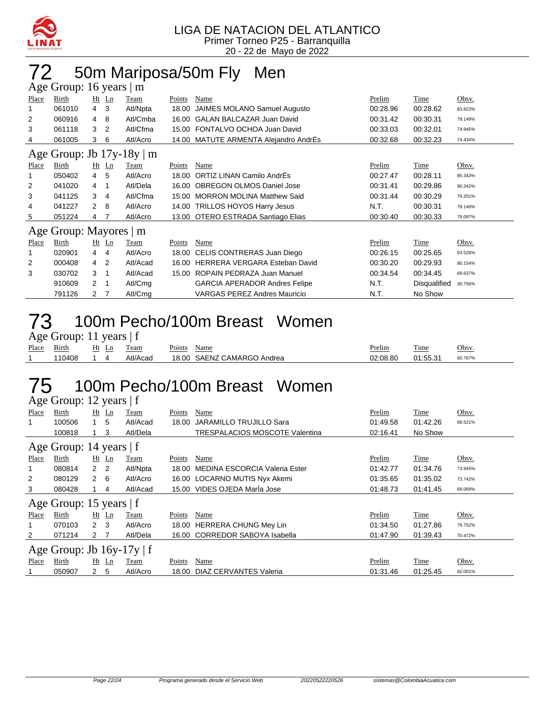

# 72 50m Mariposa/50m Fly Men

|       | Age Group: 16 years   m |                |                |                                |        |                                      |          |              |         |  |  |  |  |
|-------|-------------------------|----------------|----------------|--------------------------------|--------|--------------------------------------|----------|--------------|---------|--|--|--|--|
| Place | Birth                   |                | $Ht$ Ln        | Team                           | Points | Name                                 | Prelim   | Time         | Obsv.   |  |  |  |  |
|       | 061010                  | $\overline{4}$ | 3              | Atl/Npta                       | 18.00  | <b>JAIMES MOLANO Samuel Augusto</b>  | 00:28.96 | 00:28.62     | 83.823% |  |  |  |  |
| 2     | 060916                  | 4              | 8              | Atl/Cmba                       | 16.00  | <b>GALAN BALCAZAR Juan David</b>     | 00:31.42 | 00:30.31     | 79.149% |  |  |  |  |
| 3     | 061118                  | 3              | 2              | Atl/Cfma                       | 15.00  | FONTALVO OCHOA Juan David            | 00:33.03 | 00:32.01     | 74.945% |  |  |  |  |
| 4     | 061005                  | 3              | 6              | Atl/Acro                       | 14.00  | MATUTE ARMENTA Alejandro AndrEs      | 00:32.68 | 00:32.23     | 74.434% |  |  |  |  |
|       |                         |                |                | Age Group: Jb $17y-18y \mid m$ |        |                                      |          |              |         |  |  |  |  |
| Place | Birth                   |                | $Ht$ Ln        | Team                           | Points | Name                                 | Prelim   | Time         | Obsv.   |  |  |  |  |
|       | 050402                  | 4              | 5              | Atl/Acro                       | 18.00  | ORTIZ LINAN Camilo AndrÉs            | 00:27.47 | 00:28.11     | 85.343% |  |  |  |  |
| 2     | 041020                  | 4              | -1             | Atl/Dela                       | 16.00  | <b>OBREGON OLMOS Daniel Jose</b>     | 00:31.41 | 00:29.86     | 80.342% |  |  |  |  |
| 3     | 041125                  | 3              | 4              | Atl/Cfma                       | 15.00  | <b>MORRON MOLINA Matthew Said</b>    | 00:31.44 | 00:30.29     | 79.201% |  |  |  |  |
| 4     | 041227                  | $\mathcal{P}$  | 8              | Atl/Acro                       | 14.00  | <b>TRILLOS HOYOS Harry Jesus</b>     | N.T.     | 00:30.31     | 79.149% |  |  |  |  |
| 5     | 051224                  | 4              |                | Atl/Acro                       |        | 13.00 OTERO ESTRADA Santiago Elias   | 00:30.40 | 00:30.33     | 79.097% |  |  |  |  |
|       | Age Group: Mayores   m  |                |                |                                |        |                                      |          |              |         |  |  |  |  |
| Place | Birth                   |                | $Ht$ Ln        | Team                           | Points | Name                                 | Prelim   | Time         | Obsv.   |  |  |  |  |
| 1     | 020901                  | 4              | 4              | Atl/Acro                       | 18.00  | CELIS CONTRERAS Juan Diego           | 00:26.15 | 00:25.65     | 93.528% |  |  |  |  |
| 2     | 000408                  | 4              | $\overline{2}$ | Atl/Acad                       | 16.00  | HERRERA VERGARA Esteban David        | 00:30.20 | 00:29.93     | 80.154% |  |  |  |  |
| 3     | 030702                  | 3              | -1             | Atl/Acad                       | 15.00  | ROPAIN PEDRAZA Juan Manuel           | 00:34.54 | 00:34.45     | 69.637% |  |  |  |  |
|       | 910609                  | 2              | -1             | Atl/Cmg                        |        | <b>GARCIA APERADOR Andres Felipe</b> | N.T.     | Disqualified | 30.756% |  |  |  |  |
|       | 791126                  | 2              |                | Atl/Cmg                        |        | <b>VARGAS PEREZ Andres Mauricio</b>  | N.T.     | No Show      |         |  |  |  |  |

### 73 100m Pecho/100m Breast Women

Age Group: 11 years | f

| Place | - -<br>Bırth | Ht<br>⊷ | eam      | Points | Name                 | Prelim   | crate.<br><u>l'ime</u> | Obsv    |
|-------|--------------|---------|----------|--------|----------------------|----------|------------------------|---------|
|       | 110408       |         | Atl/Acad | 18.00  | SAENZ CAMARGO Andrea | 02:08.80 | 01:55.31               | 60.767% |
|       |              |         |          |        |                      |          |                        |         |

### 75 100m Pecho/100m Breast Women

Age Group: 12 years | f

| <b>Place</b>              | Birth                          |                | $Ht$ Ln | <b>Team</b> | Points        | Name                           | Prelim   | <b>Time</b> | Obsv.   |  |  |
|---------------------------|--------------------------------|----------------|---------|-------------|---------------|--------------------------------|----------|-------------|---------|--|--|
| 1                         | 100506                         |                | 5       | Atl/Acad    | 18.00         | JARAMILLO TRUJILLO Sara        | 01:49.58 | 01:42.26    | 68.521% |  |  |
|                           | 100818                         |                | 3       | Atl/Dela    |               | TRESPALACIOS MOSCOTE Valentina | 02:16.41 | No Show     |         |  |  |
| Age Group: 14 years $ f $ |                                |                |         |             |               |                                |          |             |         |  |  |
| Place                     | Birth                          |                | $Ht$ Ln | <b>Team</b> | <b>Points</b> | Name                           | Prelim   | <b>Time</b> | Obsv.   |  |  |
| 1                         | 080814                         | 2 <sub>2</sub> |         | Atl/Npta    | 18.00         | MEDINA ESCORCIA Valeria Ester  | 01:42.77 | 01:34.76    | 73.945% |  |  |
| 2                         | 080129                         | $2\quad 6$     |         | Atl/Acro    |               | 16.00 LOCARNO MUTIS Nyx Akemi  | 01:35.65 | 01:35.02    | 73.742% |  |  |
| 3                         | 080428                         |                | 4       | Atl/Acad    |               | 15.00 VIDES OJEDA MarÍa Jose   | 01:48.73 | 01:41.45    | 69.069% |  |  |
|                           | Age Group: 15 years $ f $      |                |         |             |               |                                |          |             |         |  |  |
| Place                     | Birth                          |                | Ht Ln   | Team        | Points        | Name                           | Prelim   | Time        | Obsv.   |  |  |
| 1                         | 070103                         | $2 \quad 3$    |         | Atl/Acro    | 18.00         | <b>HERRERA CHUNG Mey Lin</b>   | 01:34.50 | 01:27.86    | 79.752% |  |  |
| $\overline{2}$            | 071214                         | 2 7            |         | Atl/Dela    |               | 16.00 CORREDOR SABOYA Isabella | 01:47.90 | 01:39.43    | 70.472% |  |  |
|                           | Age Group: Jb $16y-17y \mid f$ |                |         |             |               |                                |          |             |         |  |  |
| Place                     | Birth                          | Ht             | Ln      | Team        | Points        | Name                           | Prelim   | Time        | Obsv.   |  |  |
|                           | 050907                         | $\mathbf{2}$   | 5       | Atl/Acro    | 18.00         | DIAZ CERVANTES Valeria         | 01:31.46 | 01:25.45    | 82.001% |  |  |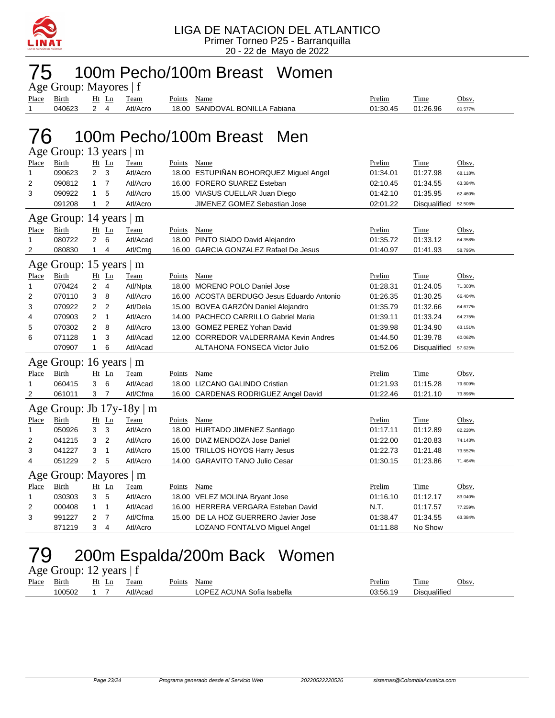

# 75 100m Pecho/100m Breast Women

| Age Group: Mayores   f                      |                           |                |                |                           |               |                                            |          |              |         |  |  |  |
|---------------------------------------------|---------------------------|----------------|----------------|---------------------------|---------------|--------------------------------------------|----------|--------------|---------|--|--|--|
| Place                                       | <b>Birth</b>              |                | $Ht$ Ln        | <b>Team</b>               | Points        | Name                                       | Prelim   | Time         | Obsv.   |  |  |  |
| 1                                           | 040623                    | $\overline{2}$ | $\overline{4}$ | Atl/Acro                  |               | 18.00 SANDOVAL BONILLA Fabiana             | 01:30.45 | 01:26.96     | 80.577% |  |  |  |
|                                             |                           |                |                |                           |               |                                            |          |              |         |  |  |  |
|                                             |                           |                |                |                           |               |                                            |          |              |         |  |  |  |
| 100m Pecho/100m Breast<br>$\sqrt{6}$<br>Men |                           |                |                |                           |               |                                            |          |              |         |  |  |  |
|                                             | Age Group: 13 years $ m$  |                |                |                           |               |                                            |          |              |         |  |  |  |
| Place                                       | Birth                     |                | Ht Ln          | Team                      | Points Name   |                                            | Prelim   | Time         | Obsv.   |  |  |  |
| 1                                           | 090623                    | $\overline{2}$ | 3              | Atl/Acro                  |               | 18.00 ESTUPIÑAN BOHORQUEZ Miguel Angel     | 01:34.01 | 01:27.98     | 68.118% |  |  |  |
| 2                                           | 090812                    | 1              | $\overline{7}$ | Atl/Acro                  |               | 16.00 FORERO SUAREZ Esteban                | 02:10.45 | 01:34.55     | 63.384% |  |  |  |
| 3                                           | 090922                    | 1.             | 5              | Atl/Acro                  |               | 15.00 VIASUS CUELLAR Juan Diego            | 01:42.10 | 01:35.95     | 62.460% |  |  |  |
|                                             | 091208                    | 1              | 2              | Atl/Acro                  |               | JIMENEZ GOMEZ Sebastian Jose               | 02:01.22 | Disqualified | 52.506% |  |  |  |
|                                             | Age Group: 14 years   m   |                |                |                           |               |                                            |          |              |         |  |  |  |
| Place                                       | <b>Birth</b>              |                | $Ht$ Ln        | <b>Team</b>               | <b>Points</b> | Name                                       | Prelim   | <b>Time</b>  | Obsv.   |  |  |  |
| 1                                           | 080722                    | 2              | 6              | Atl/Acad                  |               | 18.00 PINTO SIADO David Alejandro          | 01:35.72 | 01:33.12     | 64.358% |  |  |  |
| 2                                           | 080830                    | $\mathbf{1}$   | 4              | Atl/Cmg                   |               | 16.00 GARCIA GONZALEZ Rafael De Jesus      | 01:40.97 | 01:41.93     | 58.795% |  |  |  |
|                                             |                           |                |                |                           |               |                                            |          |              |         |  |  |  |
|                                             | Age Group: 15 years   m   |                |                |                           |               |                                            |          |              |         |  |  |  |
| <b>Place</b>                                | <u>Birth</u>              |                | $Ht$ Ln        | <b>Team</b>               | <u>Points</u> | Name                                       | Prelim   | <b>Time</b>  | Obsv.   |  |  |  |
| 1                                           | 070424                    | $\overline{2}$ | $\overline{4}$ | Atl/Npta                  |               | 18.00 MORENO POLO Daniel Jose              | 01:28.31 | 01:24.05     | 71.303% |  |  |  |
| 2                                           | 070110                    | 3              | 8              | Atl/Acro                  |               | 16.00 ACOSTA BERDUGO Jesus Eduardo Antonio | 01:26.35 | 01:30.25     | 66.404% |  |  |  |
| 3                                           | 070922                    | 2              | $\overline{2}$ | Atl/Dela                  |               | 15.00 BOVEA GARZÓN Daniel Alejandro        | 01:35.79 | 01:32.66     | 64.677% |  |  |  |
| 4                                           | 070903                    | 2              | $\mathbf{1}$   | Atl/Acro                  |               | 14.00 PACHECO CARRILLO Gabriel Maria       | 01:39.11 | 01:33.24     | 64.275% |  |  |  |
| 5                                           | 070302                    | 2              | 8              | Atl/Acro                  |               | 13.00 GOMEZ PEREZ Yohan David              | 01:39.98 | 01:34.90     | 63.151% |  |  |  |
| 6                                           | 071128                    | 1.             | 3              | Atl/Acad                  |               | 12.00 CORREDOR VALDERRAMA Kevin Andres     | 01:44.50 | 01:39.78     | 60.062% |  |  |  |
|                                             | 070907                    | $\mathbf{1}$   | 6              | Atl/Acad                  |               | ALTAHONA FONSECA Victor Julio              | 01:52.06 | Disqualified | 57.625% |  |  |  |
| Age                                         | Group: 16 years $\vert$ m |                |                |                           |               |                                            |          |              |         |  |  |  |
| Place                                       | Birth                     |                | $Ht$ Ln        | Team                      | Points        | Name                                       | Prelim   | Time         | Obsv.   |  |  |  |
| 1                                           | 060415                    | 3              | 6              | Atl/Acad                  |               | 18.00 LIZCANO GALINDO Cristian             | 01:21.93 | 01:15.28     | 79.609% |  |  |  |
| 2                                           | 061011                    | 3              | $\overline{7}$ | Atl/Cfma                  |               | 16.00 CARDENAS RODRIGUEZ Angel David       | 01:22.46 | 01:21.10     | 73.896% |  |  |  |
|                                             |                           |                |                |                           |               |                                            |          |              |         |  |  |  |
|                                             |                           |                |                | Age Group: Jb 17y-18y   m |               |                                            |          |              |         |  |  |  |
| Place                                       | <b>Birth</b>              |                | $Ht$ Ln        | Team                      | Points        | Name                                       | Prelim   | Time         | Obsv.   |  |  |  |
| 1                                           | 050926                    | 3              | 3              | Atl/Acro                  |               | 18.00 HURTADO JIMENEZ Santiago             | 01:17.11 | 01:12.89     | 82.220% |  |  |  |
| 2                                           | 041215                    | 3              | $\overline{2}$ | Atl/Acro                  |               | 16.00 DIAZ MENDOZA Jose Daniel             | 01:22.00 | 01:20.83     | 74.143% |  |  |  |
| 3                                           | 041227                    | 3              | 1              | Atl/Acro                  |               | 15.00 TRILLOS HOYOS Harry Jesus            | 01:22.73 | 01:21.48     | 73.552% |  |  |  |
| 4                                           | 051229                    | 2              | 5              | Atl/Acro                  |               | 14.00 GARAVITO TANO Julio Cesar            | 01:30.15 | 01:23.86     | 71.464% |  |  |  |
|                                             | Age Group: Mayores   m    |                |                |                           |               |                                            |          |              |         |  |  |  |
| Place                                       | <b>Birth</b>              |                | $Ht$ Ln        | Team                      | Points        | <b>Name</b>                                | Prelim   | <b>Time</b>  | Obsv.   |  |  |  |
| 1                                           | 030303                    | 3              | 5              | Atl/Acro                  |               | 18.00 VELEZ MOLINA Bryant Jose             | 01:16.10 | 01:12.17     | 83.040% |  |  |  |
| 2                                           | 000408                    | 1              | 1              | Atl/Acad                  |               | 16.00 HERRERA VERGARA Esteban David        | N.T.     | 01:17.57     | 77.259% |  |  |  |
| 3                                           | 991227                    | 2              | $\overline{7}$ | Atl/Cfma                  |               | 15.00 DE LA HOZ GUERRERO Javier Jose       | 01:38.47 | 01:34.55     | 63.384% |  |  |  |
|                                             | 871219                    | 3              | 4              | Atl/Acro                  |               | LOZANO FONTALVO Miguel Angel               | 01:11.88 | No Show      |         |  |  |  |

## 79 200m Espalda/200m Back Women

| Age Group: 12 years $ f $ |              |  |       |          |        |                            |               |              |              |  |  |
|---------------------------|--------------|--|-------|----------|--------|----------------------------|---------------|--------------|--------------|--|--|
| Place                     | <b>Birth</b> |  | Ht Ln | Team     | Points | Name                       | <b>Prelim</b> | Time         | <u>Obsv.</u> |  |  |
|                           | 100502       |  |       | Atl/Acad |        | LOPEZ ACUNA Sofia Isabella | 03:56.19      | Disqualified |              |  |  |